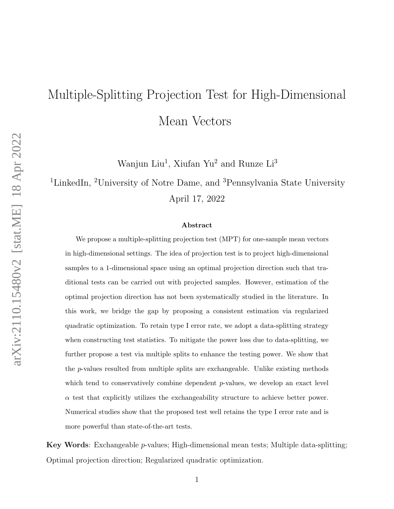# Multiple-Splitting Projection Test for High-Dimensional Mean Vectors

Wanjun Liu<sup>1</sup>, Xiufan Yu<sup>2</sup> and Runze Li<sup>3</sup>

<sup>1</sup>LinkedIn, <sup>2</sup>University of Notre Dame, and <sup>3</sup>Pennsylvania State University April 17, 2022

#### Abstract

We propose a multiple-splitting projection test (MPT) for one-sample mean vectors in high-dimensional settings. The idea of projection test is to project high-dimensional samples to a 1-dimensional space using an optimal projection direction such that traditional tests can be carried out with projected samples. However, estimation of the optimal projection direction has not been systematically studied in the literature. In this work, we bridge the gap by proposing a consistent estimation via regularized quadratic optimization. To retain type I error rate, we adopt a data-splitting strategy when constructing test statistics. To mitigate the power loss due to data-splitting, we further propose a test via multiple splits to enhance the testing power. We show that the p-values resulted from multiple splits are exchangeable. Unlike existing methods which tend to conservatively combine dependent  $p$ -values, we develop an exact level  $\alpha$  test that explicitly utilizes the exchangeability structure to achieve better power. Numerical studies show that the proposed test well retains the type I error rate and is more powerful than state-of-the-art tests.

Key Words: Exchangeable p-values; High-dimensional mean tests; Multiple data-splitting; Optimal projection direction; Regularized quadratic optimization.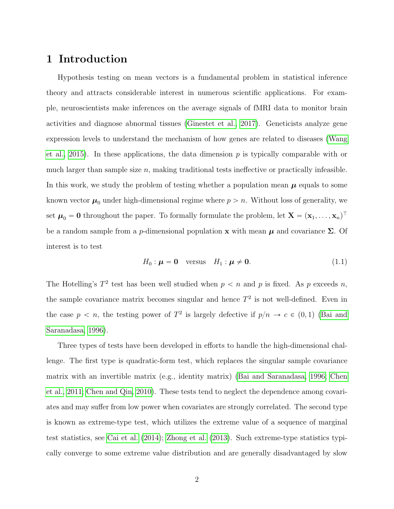## 1 Introduction

Hypothesis testing on mean vectors is a fundamental problem in statistical inference theory and attracts considerable interest in numerous scientific applications. For example, neuroscientists make inferences on the average signals of fMRI data to monitor brain activities and diagnose abnormal tissues [\(Ginestet et al., 2017\)](#page-24-0). Geneticists analyze gene expression levels to understand the mechanism of how genes are related to diseases [\(Wang](#page-25-0) [et al., 2015\)](#page-25-0). In these applications, the data dimension  $p$  is typically comparable with or much larger than sample size  $n$ , making traditional tests ineffective or practically infeasible. In this work, we study the problem of testing whether a population mean  $\mu$  equals to some known vector  $\mu_0$  under high-dimensional regime where  $p > n$ . Without loss of generality, we set  $\mu_0 = 0$  throughout the paper. To formally formulate the problem, let  $X = (x_1, \ldots, x_n)^\top$ be a random sample from a p-dimensional population **x** with mean  $\mu$  and covariance  $\Sigma$ . Of interest is to test

$$
H_0: \boldsymbol{\mu} = \mathbf{0} \quad \text{versus} \quad H_1: \boldsymbol{\mu} \neq \mathbf{0}.\tag{1.1}
$$

The Hotelling's  $T^2$  test has been well studied when  $p < n$  and p is fixed. As p exceeds n, the sample covariance matrix becomes singular and hence  $T^2$  is not well-defined. Even in the case  $p < n$ , the testing power of  $T^2$  is largely defective if  $p/n \to c \in (0, 1)$  [\(Bai and](#page-23-0) [Saranadasa, 1996\)](#page-23-0).

Three types of tests have been developed in efforts to handle the high-dimensional challenge. The first type is quadratic-form test, which replaces the singular sample covariance matrix with an invertible matrix (e.g., identity matrix) [\(Bai and Saranadasa, 1996;](#page-23-0) [Chen](#page-23-1) [et al., 2011;](#page-23-1) [Chen and Qin, 2010\)](#page-23-2). These tests tend to neglect the dependence among covariates and may suffer from low power when covariates are strongly correlated. The second type is known as extreme-type test, which utilizes the extreme value of a sequence of marginal test statistics, see [Cai et al.](#page-23-3) [\(2014\)](#page-23-3); [Zhong et al.](#page-26-0) [\(2013\)](#page-26-0). Such extreme-type statistics typically converge to some extreme value distribution and are generally disadvantaged by slow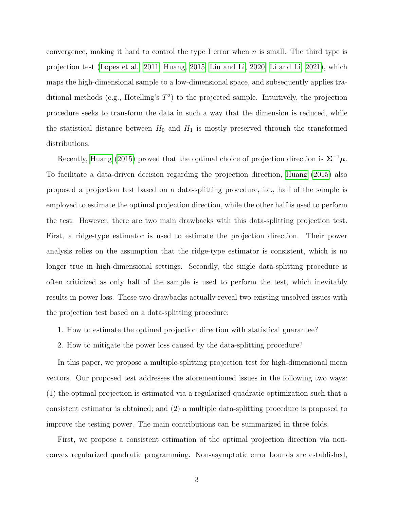convergence, making it hard to control the type I error when n is small. The third type is projection test [\(Lopes et al., 2011;](#page-24-1) [Huang, 2015;](#page-24-2) [Liu and Li, 2020;](#page-24-3) [Li and Li, 2021\)](#page-24-4), which maps the high-dimensional sample to a low-dimensional space, and subsequently applies traditional methods (e.g., Hotelling's  $T^2$ ) to the projected sample. Intuitively, the projection procedure seeks to transform the data in such a way that the dimension is reduced, while the statistical distance between  $H_0$  and  $H_1$  is mostly preserved through the transformed distributions.

Recently, [Huang](#page-24-2) [\(2015\)](#page-24-2) proved that the optimal choice of projection direction is  $\Sigma^{-1}\mu$ . To facilitate a data-driven decision regarding the projection direction, [Huang](#page-24-2) [\(2015\)](#page-24-2) also proposed a projection test based on a data-splitting procedure, i.e., half of the sample is employed to estimate the optimal projection direction, while the other half is used to perform the test. However, there are two main drawbacks with this data-splitting projection test. First, a ridge-type estimator is used to estimate the projection direction. Their power analysis relies on the assumption that the ridge-type estimator is consistent, which is no longer true in high-dimensional settings. Secondly, the single data-splitting procedure is often criticized as only half of the sample is used to perform the test, which inevitably results in power loss. These two drawbacks actually reveal two existing unsolved issues with the projection test based on a data-splitting procedure:

- 1. How to estimate the optimal projection direction with statistical guarantee?
- 2. How to mitigate the power loss caused by the data-splitting procedure?

In this paper, we propose a multiple-splitting projection test for high-dimensional mean vectors. Our proposed test addresses the aforementioned issues in the following two ways: (1) the optimal projection is estimated via a regularized quadratic optimization such that a consistent estimator is obtained; and (2) a multiple data-splitting procedure is proposed to improve the testing power. The main contributions can be summarized in three folds.

First, we propose a consistent estimation of the optimal projection direction via nonconvex regularized quadratic programming. Non-asymptotic error bounds are established,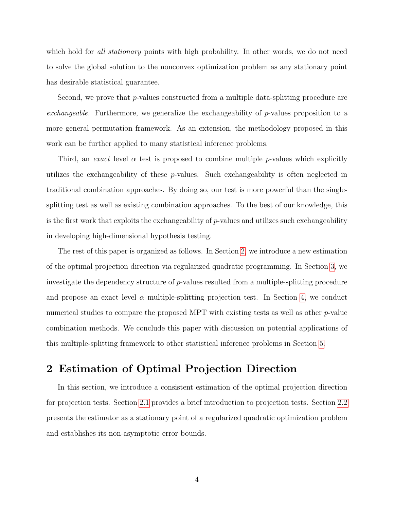which hold for all stationary points with high probability. In other words, we do not need to solve the global solution to the nonconvex optimization problem as any stationary point has desirable statistical guarantee.

Second, we prove that *p*-values constructed from a multiple data-splitting procedure are exchangeable. Furthermore, we generalize the exchangeability of p-values proposition to a more general permutation framework. As an extension, the methodology proposed in this work can be further applied to many statistical inference problems.

Third, an exact level  $\alpha$  test is proposed to combine multiple p-values which explicitly utilizes the exchangeability of these p-values. Such exchangeability is often neglected in traditional combination approaches. By doing so, our test is more powerful than the singlesplitting test as well as existing combination approaches. To the best of our knowledge, this is the first work that exploits the exchangeability of  $p$ -values and utilizes such exchangeability in developing high-dimensional hypothesis testing.

The rest of this paper is organized as follows. In Section [2,](#page-3-0) we introduce a new estimation of the optimal projection direction via regularized quadratic programming. In Section [3,](#page-8-0) we investigate the dependency structure of p-values resulted from a multiple-splitting procedure and propose an exact level  $\alpha$  multiple-splitting projection test. In Section [4,](#page-16-0) we conduct numerical studies to compare the proposed MPT with existing tests as well as other  $p$ -value combination methods. We conclude this paper with discussion on potential applications of this multiple-splitting framework to other statistical inference problems in Section [5.](#page-22-0)

# <span id="page-3-0"></span>2 Estimation of Optimal Projection Direction

<span id="page-3-1"></span>In this section, we introduce a consistent estimation of the optimal projection direction for projection tests. Section [2.1](#page-3-1) provides a brief introduction to projection tests. Section [2.2](#page-5-0) presents the estimator as a stationary point of a regularized quadratic optimization problem and establishes its non-asymptotic error bounds.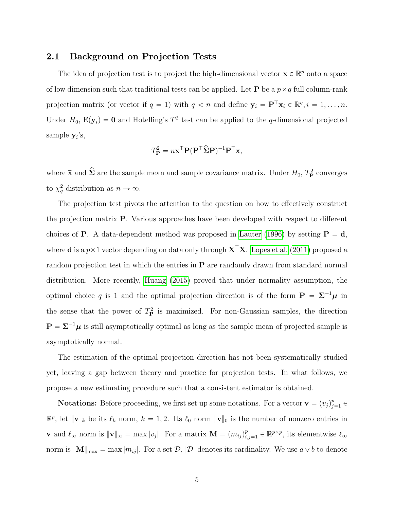#### 2.1 Background on Projection Tests

The idea of projection test is to project the high-dimensional vector  $\mathbf{x} \in \mathbb{R}^p$  onto a space of low dimension such that traditional tests can be applied. Let **P** be a  $p \times q$  full column-rank projection matrix (or vector if  $q = 1$ ) with  $q < n$  and define  $y_i = P^{\top} x_i \in \mathbb{R}^q, i = 1, \ldots, n$ . Under  $H_0$ ,  $E(y_i) = 0$  and Hotelling's  $T^2$  test can be applied to the q-dimensional projected sample  $y_i$ 's,

$$
T_{\mathbf{P}}^2 = n\bar{\mathbf{x}}^{\top} \mathbf{P} (\mathbf{P}^{\top} \hat{\mathbf{\Sigma}} \mathbf{P})^{-1} \mathbf{P}^{\top} \bar{\mathbf{x}},
$$

where  $\bar{\mathbf{x}}$  and  $\hat{\mathbf{\Sigma}}$  are the sample mean and sample covariance matrix. Under  $H_0$ ,  $T^2_{\mathbf{P}}$  converges to  $\chi_q^2$  distribution as  $n \to \infty$ .

The projection test pivots the attention to the question on how to effectively construct the projection matrix P. Various approaches have been developed with respect to different choices of **P**. A data-dependent method was proposed in [Lauter](#page-24-5) [\(1996\)](#page-24-5) by setting  $P = d$ , where **d** is a  $p \times 1$  vector depending on data only through  $X^{\top}X$ . [Lopes et al.](#page-24-1) [\(2011\)](#page-24-1) proposed a random projection test in which the entries in  $P$  are randomly drawn from standard normal distribution. More recently, [Huang](#page-24-2) [\(2015\)](#page-24-2) proved that under normality assumption, the optimal choice q is 1 and the optimal projection direction is of the form  $P = \Sigma^{-1} \mu$  in the sense that the power of  $T_{\rm P}^2$  is maximized. For non-Gaussian samples, the direction  $\mathbf{P} = \mathbf{\Sigma}^{-1} \boldsymbol{\mu}$  is still asymptotically optimal as long as the sample mean of projected sample is asymptotically normal.

The estimation of the optimal projection direction has not been systematically studied yet, leaving a gap between theory and practice for projection tests. In what follows, we propose a new estimating procedure such that a consistent estimator is obtained.

**Notations:** Before proceeding, we first set up some notations. For a vector  $\mathbf{v} = (v_j)_{j=1}^p \in \mathbb{R}$  $\mathbb{R}^p$ , let  $\|\mathbf{v}\|_k$  be its  $\ell_k$  norm,  $k = 1, 2$ . Its  $\ell_0$  norm  $\|\mathbf{v}\|_0$  is the number of nonzero entries in **v** and  $\ell_{\infty}$  norm is  $\|\mathbf{v}\|_{\infty} = \max |v_j|$ . For a matrix  $\mathbf{M} = (m_{ij})_{i,j=1}^p \in \mathbb{R}^{p \times p}$ , its elementwise  $\ell_{\infty}$ norm is  $\|\mathbf{M}\|_{\text{max}} = \max |m_{ij}|$ . For a set  $\mathcal{D}, |\mathcal{D}|$  denotes its cardinality. We use  $a \vee b$  to denote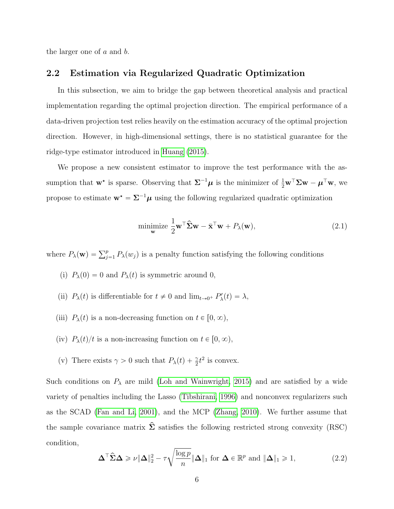<span id="page-5-0"></span>the larger one of a and b.

#### 2.2 Estimation via Regularized Quadratic Optimization

In this subsection, we aim to bridge the gap between theoretical analysis and practical implementation regarding the optimal projection direction. The empirical performance of a data-driven projection test relies heavily on the estimation accuracy of the optimal projection direction. However, in high-dimensional settings, there is no statistical guarantee for the ridge-type estimator introduced in [Huang](#page-24-2) [\(2015\)](#page-24-2).

We propose a new consistent estimator to improve the test performance with the assumption that  $\mathbf{w}^*$  is sparse. Observing that  $\Sigma^{-1}\mu$  is the minimizer of  $\frac{1}{2}\mathbf{w}^\top \Sigma \mathbf{w} - \mu^\top \mathbf{w}$ , we propose to estimate  $\mathbf{w}^* = \mathbf{\Sigma}^{-1} \boldsymbol{\mu}$  using the following regularized quadratic optimization

<span id="page-5-2"></span>
$$
\underset{\mathbf{w}}{\text{minimize}} \frac{1}{2} \mathbf{w}^\top \widehat{\mathbf{\Sigma}} \mathbf{w} - \bar{\mathbf{x}}^\top \mathbf{w} + P_\lambda(\mathbf{w}),\tag{2.1}
$$

where  $P_{\lambda}(\mathbf{w}) = \sum_{j=1}^{p} P_{\lambda}(w_j)$  is a penalty function satisfying the following conditions

- (i)  $P_\lambda(0) = 0$  and  $P_\lambda(t)$  is symmetric around 0,
- (ii)  $P_\lambda(t)$  is differentiable for  $t \neq 0$  and  $\lim_{t \to 0^+} P'_\lambda(t) = \lambda$ ,
- (iii)  $P_{\lambda}(t)$  is a non-decreasing function on  $t \in [0, \infty)$ ,
- (iv)  $P_{\lambda}(t)/t$  is a non-increasing function on  $t \in [0, \infty)$ ,
- (v) There exists  $\gamma > 0$  such that  $P_{\lambda}(t) + \frac{\gamma}{2}t^2$  is convex.

Such conditions on  $P_{\lambda}$  are mild [\(Loh and Wainwright, 2015\)](#page-24-6) and are satisfied by a wide variety of penalties including the Lasso [\(Tibshirani, 1996\)](#page-25-1) and nonconvex regularizers such as the SCAD [\(Fan and Li, 2001\)](#page-23-4), and the MCP [\(Zhang, 2010\)](#page-26-1). We further assume that the sample covariance matrix  $\hat{\Sigma}$  satisfies the following restricted strong convexity (RSC) condition, ci<br>C

<span id="page-5-1"></span>
$$
\Delta^{\top} \widehat{\Sigma} \Delta \geqslant \nu \|\Delta\|_{2}^{2} - \tau \sqrt{\frac{\log p}{n}} \|\Delta\|_{1} \text{ for } \Delta \in \mathbb{R}^{p} \text{ and } \|\Delta\|_{1} \geqslant 1,
$$
\n(2.2)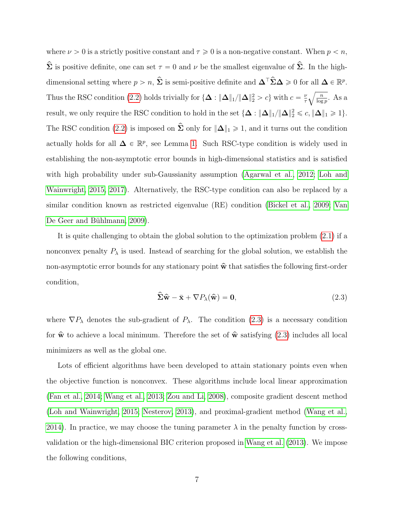where  $\nu > 0$  is a strictly positive constant and  $\tau \geq 0$  is a non-negative constant. When  $p < n$ ,  $\hat{\Sigma}$  is positive definite, one can set  $\tau = 0$  and  $\nu$  be the smallest eigenvalue of  $\hat{\Sigma}$ . In the highdimensional setting where  $p > n$ ,  $\hat{\Sigma}$  is semi-positive definite and  $\Delta^{\top} \hat{\Sigma} \Delta \geq 0$  for all  $\Delta \in \mathbb{R}^p$ . Thus the RSC condition [\(2.2\)](#page-5-1) holds trivially for  $\{\Delta : \|\Delta\|_1/\|\Delta\|_2^2 > c\}$  with  $c = \frac{\nu}{\tau}$ τ b n  $\frac{n}{\log p}$ . As a result, we only require the RSC condition to hold in the set  $\{\Delta : \|\Delta\|_1/\|\Delta\|_2^2 \leqslant c, \|\Delta\|_1 \geqslant 1\}$ . The RSC condition [\(2.2\)](#page-5-1) is imposed on  $\hat{\Sigma}$  only for  $\|\Delta\|_1 \geq 1$ , and it turns out the condition actually holds for all  $\Delta \in \mathbb{R}^p$ , see Lemma [1.](#page-28-0) Such RSC-type condition is widely used in establishing the non-asymptotic error bounds in high-dimensional statistics and is satisfied with high probability under sub-Gaussianity assumption [\(Agarwal et al., 2012;](#page-22-1) [Loh and](#page-24-6) [Wainwright, 2015,](#page-24-6) [2017\)](#page-24-7). Alternatively, the RSC-type condition can also be replaced by a similar condition known as restricted eigenvalue (RE) condition [\(Bickel et al., 2009;](#page-23-5) [Van](#page-25-2) De Geer and Bühlmann, 2009).

It is quite challenging to obtain the global solution to the optimization problem [\(2.1\)](#page-5-2) if a nonconvex penalty  $P_{\lambda}$  is used. Instead of searching for the global solution, we establish the non-asymptotic error bounds for any stationary point  $\hat{\mathbf{w}}$  that satisfies the following first-order condition,

<span id="page-6-0"></span>
$$
\hat{\Sigma}\hat{\mathbf{w}} - \bar{\mathbf{x}} + \nabla P_{\lambda}(\hat{\mathbf{w}}) = \mathbf{0},\tag{2.3}
$$

where  $\nabla P_\lambda$  denotes the sub-gradient of  $P_\lambda$ . The condition [\(2.3\)](#page-6-0) is a necessary condition for  $\hat{\mathbf{w}}$  to achieve a local minimum. Therefore the set of  $\hat{\mathbf{w}}$  satisfying [\(2.3\)](#page-6-0) includes all local minimizers as well as the global one.

Lots of efficient algorithms have been developed to attain stationary points even when the objective function is nonconvex. These algorithms include local linear approximation [\(Fan et al., 2014;](#page-23-6) [Wang et al., 2013;](#page-25-3) [Zou and Li, 2008\)](#page-26-2), composite gradient descent method [\(Loh and Wainwright, 2015;](#page-24-6) [Nesterov, 2013\)](#page-25-4), and proximal-gradient method [\(Wang et al.,](#page-25-5) [2014\)](#page-25-5). In practice, we may choose the tuning parameter  $\lambda$  in the penalty function by crossvalidation or the high-dimensional BIC criterion proposed in [Wang et al.](#page-25-3) [\(2013\)](#page-25-3). We impose the following conditions,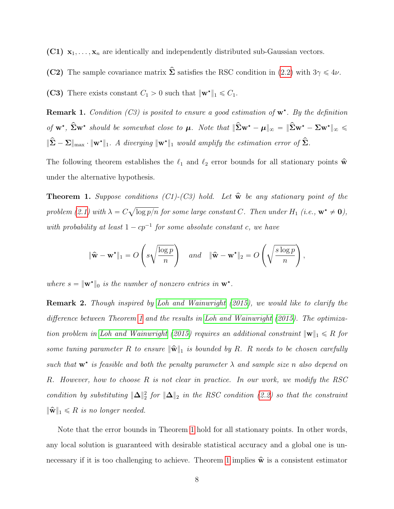(C1)  $x_1, \ldots, x_n$  are identically and independently distributed sub-Gaussian vectors.

(C2) The sample covariance matrix  $\hat{\Sigma}$  satisfies the RSC condition in [\(2.2\)](#page-5-1) with  $3\gamma \leq 4\nu$ .

(C3) There exists constant  $C_1 > 0$  such that  $\|\mathbf{w}^{\star}\|_1 \leq C_1$ .

**Remark 1.** Condition (C3) is posited to ensure a good estimation of  $w^*$ . By the definition of  $w^*$ ,  $\hat{\Sigma}w^*$  should be somewhat close to  $\mu$ . Note that  $\|\hat{\Sigma}w^* - \mu\|_{\infty} = \|\hat{\Sigma}w^* - \Sigma w^*\|_{\infty} \leq$  $\|\hat{\Sigma} - \Sigma\|_{\max} \cdot \|\mathbf{w}^{\star}\|_1$ . A diverging  $\|\mathbf{w}^{\star}\|_1$  would amplify the estimation error of  $\hat{\Sigma}$ .

The following theorem establishes the  $\ell_1$  and  $\ell_2$  error bounds for all stationary points  $\hat{\mathbf{w}}$ under the alternative hypothesis.

<span id="page-7-0"></span>**Theorem 1.** Suppose conditions (C1)-(C3) hold. Let  $\hat{\mathbf{w}}$  be any stationary point of the problem [\(2.1\)](#page-5-2) with  $\lambda = C$ a  $\log p/n$  for some large constant C. Then under  $H_1$  (i.e.,  $\mathbf{w}^* \neq \mathbf{0}$ ), with probability at least  $1 - cp^{-1}$  for some absolute constant c, we have

$$
\|\widehat{\mathbf{w}} - \mathbf{w}^{\star}\|_{1} = O\left(s\sqrt{\frac{\log p}{n}}\right) \quad and \quad \|\widehat{\mathbf{w}} - \mathbf{w}^{\star}\|_{2} = O\left(\sqrt{\frac{s\log p}{n}}\right),
$$

where  $s = \|\mathbf{w}^*\|_0$  is the number of nonzero entries in  $\mathbf{w}^*$ .

Remark 2. Though inspired by [Loh and Wainwright](#page-24-6) [\(2015\)](#page-24-6), we would like to clarify the difference between Theorem [1](#page-7-0) and the results in [Loh and Wainwright](#page-24-6) [\(2015\)](#page-24-6). The optimiza-tion problem in [Loh and Wainwright](#page-24-6) [\(2015\)](#page-24-6) requires an additional constraint  $\|\mathbf{w}\|_1 \leq R$  for some tuning parameter R to ensure  $\|\widehat{\mathbf{w}}\|_1$  is bounded by R. R needs to be chosen carefully such that  $w^*$  is feasible and both the penalty parameter  $\lambda$  and sample size n also depend on R. However, how to choose R is not clear in practice. In our work, we modify the RSC condition by substituting  $\|\Delta\|_2^2$  for  $\|\Delta\|_2$  in the RSC condition [\(2.2\)](#page-5-1) so that the constraint  $\|\widehat{\mathbf{w}}\|_1 \leq R$  is no longer needed.

Note that the error bounds in Theorem [1](#page-7-0) hold for all stationary points. In other words, any local solution is guaranteed with desirable statistical accuracy and a global one is un-necessary if it is too challenging to achieve. Theorem [1](#page-7-0) implies  $\hat{\mathbf{w}}$  is a consistent estimator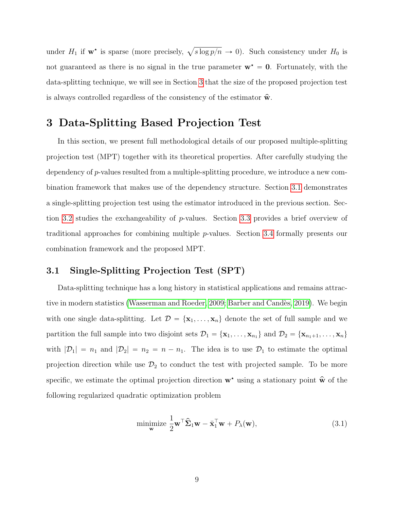under  $H_1$  if  $w^*$  is sparse (more precisely,  $\sqrt{s \log p/n} \to 0$ ). Such consistency under  $H_0$  is not guaranteed as there is no signal in the true parameter  $w^* = 0$ . Fortunately, with the data-splitting technique, we will see in Section [3](#page-8-0) that the size of the proposed projection test is always controlled regardless of the consistency of the estimator  $\hat{\mathbf{w}}$ .

## <span id="page-8-0"></span>3 Data-Splitting Based Projection Test

In this section, we present full methodological details of our proposed multiple-splitting projection test (MPT) together with its theoretical properties. After carefully studying the dependency of p-values resulted from a multiple-splitting procedure, we introduce a new combination framework that makes use of the dependency structure. Section [3.1](#page-8-1) demonstrates a single-splitting projection test using the estimator introduced in the previous section. Section [3.2](#page-10-0) studies the exchangeability of p-values. Section [3.3](#page-11-0) provides a brief overview of traditional approaches for combining multiple p-values. Section [3.4](#page-12-0) formally presents our combination framework and the proposed MPT.

#### <span id="page-8-1"></span>3.1 Single-Splitting Projection Test (SPT)

Data-splitting technique has a long history in statistical applications and remains attrac-tive in modern statistics [\(Wasserman and Roeder, 2009;](#page-25-6) Barber and Candès, 2019). We begin with one single data-splitting. Let  $\mathcal{D} = {\mathbf{x}_1, \dots, \mathbf{x}_n}$  denote the set of full sample and we partition the full sample into two disjoint sets  $\mathcal{D}_1 = {\mathbf{x}_1, \dots, \mathbf{x}_{n_1}}$  and  $\mathcal{D}_2 = {\mathbf{x}_{n_1+1}, \dots, \mathbf{x}_n}$ with  $|\mathcal{D}_1| = n_1$  and  $|\mathcal{D}_2| = n_2 = n - n_1$ . The idea is to use  $\mathcal{D}_1$  to estimate the optimal projection direction while use  $\mathcal{D}_2$  to conduct the test with projected sample. To be more specific, we estimate the optimal projection direction  $\mathbf{w}^*$  using a stationary point  $\hat{\mathbf{w}}$  of the following regularized quadratic optimization problem

$$
\underset{\mathbf{w}}{\text{minimize}} \frac{1}{2} \mathbf{w}^\top \widehat{\boldsymbol{\Sigma}}_1 \mathbf{w} - \bar{\mathbf{x}}_1^\top \mathbf{w} + P_\lambda(\mathbf{w}), \tag{3.1}
$$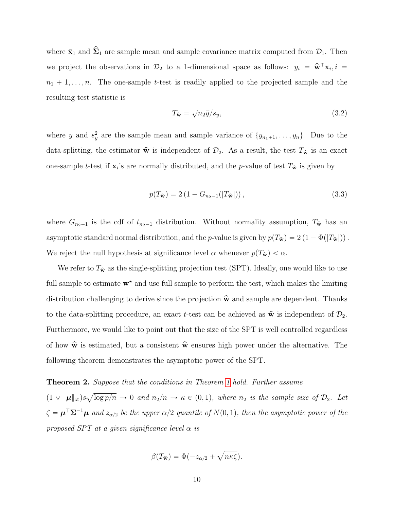where  $\bar{\mathbf{x}}_1$  and  $\hat{\mathbf{\Sigma}}_1$  are sample mean and sample covariance matrix computed from  $\mathcal{D}_1$ . Then we project the observations in  $\mathcal{D}_2$  to a 1-dimensional space as follows:  $y_i = \hat{\mathbf{w}}^{\top} \mathbf{x}_i$ ,  $i =$  $n_1 + 1, \ldots, n$ . The one-sample t-test is readily applied to the projected sample and the resulting test statistic is

$$
T_{\hat{\mathbf{w}}} = \sqrt{n_2} \bar{y}/s_y,\tag{3.2}
$$

where  $\bar{y}$  and  $s_y^2$  are the sample mean and sample variance of  $\{y_{n_1+1}, \ldots, y_n\}$ . Due to the data-splitting, the estimator  $\hat{\mathbf{w}}$  is independent of  $\mathcal{D}_2$ . As a result, the test  $T_{\hat{\mathbf{w}}}$  is an exact one-sample t-test if  $\mathbf{x}_i$ 's are normally distributed, and the p-value of test  $T_{\hat{\mathbf{w}}}$  is given by

<span id="page-9-0"></span>
$$
p(T_{\hat{\mathbf{w}}}) = 2\left(1 - G_{n_2 - 1}(|T_{\hat{\mathbf{w}}}|)\right),\tag{3.3}
$$

where  $G_{n_2-1}$  is the cdf of  $t_{n_2-1}$  distribution. Without normality assumption,  $T_{\hat{\mathbf{w}}}$  has an asymptotic standard normal distribution, and the p-value is given by  $p(T_{\hat{\mathbf{w}}}) = 2 \left(1 - \Phi(|T_{\hat{\mathbf{w}}}|)\right)$ . We reject the null hypothesis at significance level  $\alpha$  whenever  $p(T_{\hat{\mathbf{w}}}) < \alpha$ .

We refer to  $T_{\hat{\mathbf{w}}}$  as the single-splitting projection test (SPT). Ideally, one would like to use full sample to estimate  $w^*$  and use full sample to perform the test, which makes the limiting distribution challenging to derive since the projection  $\hat{\mathbf{w}}$  and sample are dependent. Thanks to the data-splitting procedure, an exact t-test can be achieved as  $\hat{\mathbf{w}}$  is independent of  $\mathcal{D}_2$ . Furthermore, we would like to point out that the size of the SPT is well controlled regardless of how  $\hat{\mathbf{w}}$  is estimated, but a consistent  $\hat{\mathbf{w}}$  ensures high power under the alternative. The following theorem demonstrates the asymptotic power of the SPT.

#### <span id="page-9-1"></span>Theorem 2. Suppose that the conditions in Theorem [1](#page-7-0) hold. Further assume a

 $(1 \times \|\boldsymbol{\mu}\|_{\infty})s$  $\log p/n \to 0$  and  $n_2/n \to \kappa \in (0,1)$ , where  $n_2$  is the sample size of  $\mathcal{D}_2$ . Let  $\zeta = \boldsymbol{\mu}^\top \boldsymbol{\Sigma}^{-1} \boldsymbol{\mu}$  and  $z_{\alpha/2}$  be the upper  $\alpha/2$  quantile of  $N(0, 1)$ , then the asymptotic power of the proposed SPT at a given significance level  $\alpha$  is

$$
\beta(T_{\hat{\mathbf{w}}}) = \Phi(-z_{\alpha/2} + \sqrt{n\kappa\zeta}).
$$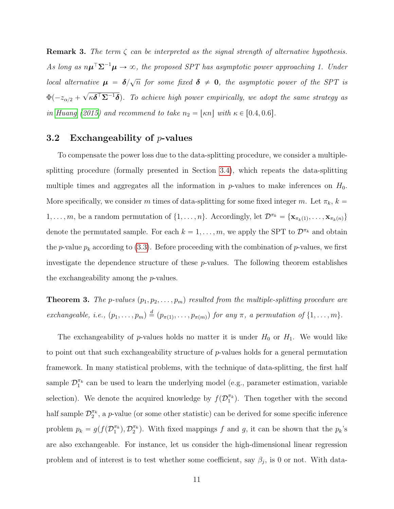**Remark 3.** The term  $\zeta$  can be interpreted as the signal strength of alternative hypothesis. As long as  $n\mu^{\top} \Sigma^{-1} \mu \to \infty$ , the proposed SPT has asymptotic power approaching 1. Under local alternative  $\mu = \delta/\sqrt{n}$  for some fixed  $\delta \neq 0$ , the asymptotic power of the SPT is  $\Phi(-z_{\alpha/2} +$  $\overline{\phantom{a}}$  $\kappa\boldsymbol{\delta}^\top\mathbf{\Sigma}^{-1}\boldsymbol{\delta})$ . To achieve high power empirically, we adopt the same strategy as in [Huang](#page-24-2) [\(2015\)](#page-24-2) and recommend to take  $n_2 = \lfloor \kappa n \rfloor$  with  $\kappa \in [0.4, 0.6]$ .

#### <span id="page-10-0"></span>3.2 Exchangeability of  $p$ -values

To compensate the power loss due to the data-splitting procedure, we consider a multiplesplitting procedure (formally presented in Section [3.4\)](#page-12-0), which repeats the data-splitting multiple times and aggregates all the information in  $p$ -values to make inferences on  $H_0$ . More specifically, we consider m times of data-splitting for some fixed integer m. Let  $\pi_k$ ,  $k =$  $1, \ldots, m$ , be a random permutation of  $\{1, \ldots, n\}$ . Accordingly, let  $\mathcal{D}^{\pi_k} = \{\mathbf{x}_{\pi_k(1)}, \ldots, \mathbf{x}_{\pi_k(n)}\}$ denote the permutated sample. For each  $k = 1, ..., m$ , we apply the SPT to  $\mathcal{D}^{\pi_k}$  and obtain the p-value  $p_k$  according to [\(3.3\)](#page-9-0). Before proceeding with the combination of p-values, we first investigate the dependence structure of these  $p$ -values. The following theorem establishes the exchangeability among the p-values.

<span id="page-10-1"></span>**Theorem 3.** The p-values  $(p_1, p_2, \ldots, p_m)$  resulted from the multiple-splitting procedure are exchangeable, i.e.,  $(p_1, \ldots, p_m) \stackrel{d}{=} (p_{\pi(1)}, \ldots, p_{\pi(m)})$  for any  $\pi$ , a permutation of  $\{1, \ldots, m\}$ .

The exchangeability of p-values holds no matter it is under  $H_0$  or  $H_1$ . We would like to point out that such exchangeability structure of p-values holds for a general permutation framework. In many statistical problems, with the technique of data-splitting, the first half sample  $\mathcal{D}_1^{\pi_k}$  can be used to learn the underlying model (e.g., parameter estimation, variable selection). We denote the acquired knowledge by  $f(\mathcal{D}_1^{\pi_k})$ . Then together with the second half sample  $\mathcal{D}_2^{\pi_k}$ , a p-value (or some other statistic) can be derived for some specific inference problem  $p_k = g(f(\mathcal{D}_1^{\pi_k}), \mathcal{D}_2^{\pi_k})$ . With fixed mappings f and g, it can be shown that the  $p_k$ 's are also exchangeable. For instance, let us consider the high-dimensional linear regression problem and of interest is to test whether some coefficient, say  $\beta_j$ , is 0 or not. With data-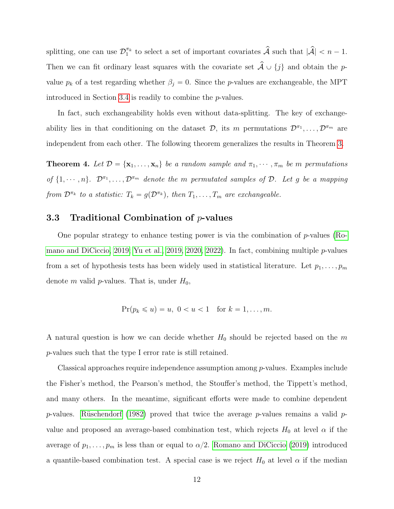splitting, one can use  $\mathcal{D}_1^{\pi_k}$  to select a set of important covariates  $\hat{\mathcal{A}}$  such that  $|\hat{\mathcal{A}}| < n - 1$ . Then we can fit ordinary least squares with the covariate set  $\hat{\mathcal{A}} \cup \{j\}$  and obtain the pvalue  $p_k$  of a test regarding whether  $\beta_j = 0$ . Since the p-values are exchangeable, the MPT introduced in Section [3.4](#page-12-0) is readily to combine the p-values.

In fact, such exchangeability holds even without data-splitting. The key of exchangeability lies in that conditioning on the dataset  $\mathcal{D}$ , its m permutations  $\mathcal{D}^{\pi_1}, \ldots, \mathcal{D}^{\pi_m}$  are independent from each other. The following theorem generalizes the results in Theorem [3.](#page-10-1)

<span id="page-11-1"></span>**Theorem 4.** Let  $\mathcal{D} = {\mathbf{x}_1, ..., \mathbf{x}_n}$  be a random sample and  $\pi_1, \dots, \pi_m$  be m permutations of  $\{1, \dots, n\}$ .  $\mathcal{D}^{\pi_1}, \dots, \mathcal{D}^{\pi_m}$  denote the m permutated samples of  $\mathcal{D}$ . Let g be a mapping from  $\mathcal{D}^{\pi_k}$  to a statistic:  $T_k = g(\mathcal{D}^{\pi_k})$ , then  $T_1, \ldots, T_m$  are exchangeable.

#### <span id="page-11-0"></span>3.3 Traditional Combination of p-values

One popular strategy to enhance testing power is via the combination of p-values [\(Ro](#page-25-7)[mano and DiCiccio, 2019;](#page-25-7) [Yu et al., 2019,](#page-26-3) [2020,](#page-26-4) [2022\)](#page-26-5). In fact, combining multiple p-values from a set of hypothesis tests has been widely used in statistical literature. Let  $p_1, \ldots, p_m$ denote m valid p-values. That is, under  $H_0$ ,

$$
\Pr(p_k \leqslant u) = u, \ 0 < u < 1 \quad \text{for } k = 1, \dots, m.
$$

A natural question is how we can decide whether  $H_0$  should be rejected based on the m p-values such that the type I error rate is still retained.

Classical approaches require independence assumption among  $p$ -values. Examples include the Fisher's method, the Pearson's method, the Stouffer's method, the Tippett's method, and many others. In the meantime, significant efforts were made to combine dependent p-values. Rüschendorf [\(1982\)](#page-25-8) proved that twice the average p-values remains a valid pvalue and proposed an average-based combination test, which rejects  $H_0$  at level  $\alpha$  if the average of  $p_1, \ldots, p_m$  is less than or equal to  $\alpha/2$ . [Romano and DiCiccio](#page-25-7) [\(2019\)](#page-25-7) introduced a quantile-based combination test. A special case is we reject  $H_0$  at level  $\alpha$  if the median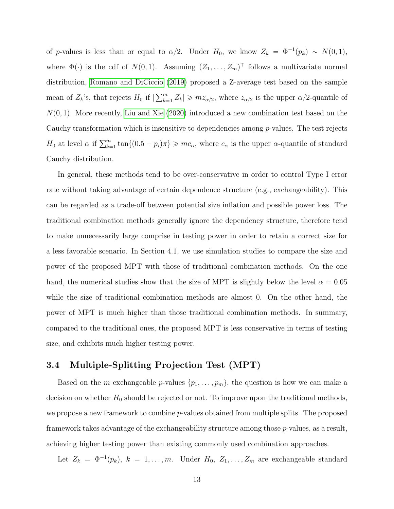of p-values is less than or equal to  $\alpha/2$ . Under  $H_0$ , we know  $Z_k = \Phi^{-1}(p_k) \sim N(0, 1)$ , where  $\Phi(\cdot)$  is the cdf of  $N(0, 1)$ . Assuming  $(Z_1, \ldots, Z_m)$ <sup>T</sup> follows a multivariate normal distribution, [Romano and DiCiccio](#page-25-7) [\(2019\)](#page-25-7) proposed a Z-average test based on the sample mean of  $Z_k$ 's, that rejects  $H_0$  if  $\sum_{k=1}^m$  $\binom{m}{k-1} Z_k \geqslant m z_{\alpha/2}$ , where  $z_{\alpha/2}$  is the upper  $\alpha/2$ -quantile of  $N(0, 1)$ . More recently, [Liu and Xie](#page-24-8) [\(2020\)](#page-24-8) introduced a new combination test based on the Cauchy transformation which is insensitive to dependencies among p-values. The test rejects  $H_0$  at level  $\alpha$  if  $\sum_{k=1}^m \tan\{(0.5 - p_i)\pi\} \geqslant mc_\alpha$ , where  $c_\alpha$  is the upper  $\alpha$ -quantile of standard Cauchy distribution.

In general, these methods tend to be over-conservative in order to control Type I error rate without taking advantage of certain dependence structure (e.g., exchangeability). This can be regarded as a trade-off between potential size inflation and possible power loss. The traditional combination methods generally ignore the dependency structure, therefore tend to make unnecessarily large comprise in testing power in order to retain a correct size for a less favorable scenario. In Section 4.1, we use simulation studies to compare the size and power of the proposed MPT with those of traditional combination methods. On the one hand, the numerical studies show that the size of MPT is slightly below the level  $\alpha = 0.05$ while the size of traditional combination methods are almost 0. On the other hand, the power of MPT is much higher than those traditional combination methods. In summary, compared to the traditional ones, the proposed MPT is less conservative in terms of testing size, and exhibits much higher testing power.

## <span id="page-12-0"></span>3.4 Multiple-Splitting Projection Test (MPT)

Based on the m exchangeable p-values  $\{p_1, \ldots, p_m\}$ , the question is how we can make a decision on whether  $H_0$  should be rejected or not. To improve upon the traditional methods, we propose a new framework to combine p-values obtained from multiple splits. The proposed framework takes advantage of the exchangeability structure among those p-values, as a result, achieving higher testing power than existing commonly used combination approaches.

Let  $Z_k = \Phi^{-1}(p_k)$ ,  $k = 1, ..., m$ . Under  $H_0, Z_1, ..., Z_m$  are exchangeable standard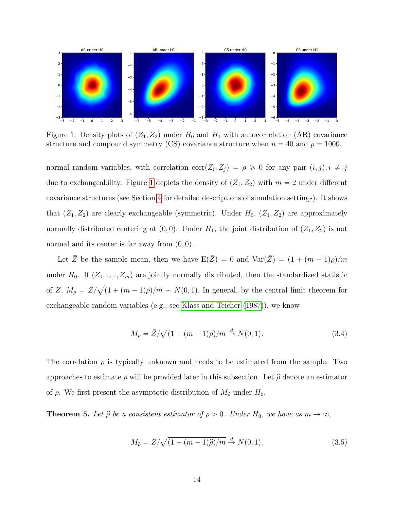<span id="page-13-0"></span>

Figure 1: Density plots of  $(Z_1, Z_2)$  under  $H_0$  and  $H_1$  with autocorrelation (AR) covariance structure and compound symmetry (CS) covariance structure when  $n = 40$  and  $p = 1000$ .

normal random variables, with correlation  $\text{corr}(Z_i, Z_j) = \rho \geq 0$  for any pair  $(i, j), i \neq j$ due to exchangeability. Figure [1](#page-13-0) depicts the density of  $(Z_1, Z_2)$  with  $m = 2$  under different covariance structures (see Section [4](#page-16-0) for detailed descriptions of simulation settings). It shows that  $(Z_1, Z_2)$  are clearly exchangeable (symmetric). Under  $H_0$ ,  $(Z_1, Z_2)$  are approximately normally distributed centering at  $(0, 0)$ . Under  $H_1$ , the joint distribution of  $(Z_1, Z_2)$  is not normal and its center is far away from  $(0, 0)$ .

Let  $\overline{Z}$  be the sample mean, then we have  $E(\overline{Z}) = 0$  and  $Var(\overline{Z}) = (1 + (m - 1)\rho)/m$ under  $H_0$ . If  $(Z_1, \ldots, Z_m)$  are jointly normally distributed, then the standardized statistic of  $\overline{Z}$ ,  $M_{\rho} = \overline{Z}/\sqrt{2}$  $(1 + (m - 1)\rho)/m \sim N(0, 1)$ . In general, by the central limit theorem for exchangeable random variables (e.g., see [Klass and Teicher](#page-24-9) [\(1987\)](#page-24-9)), we know

$$
M_{\rho} = \bar{Z}/\sqrt{(1 + (m - 1)\rho)/m} \stackrel{d}{\to} N(0, 1).
$$
 (3.4)

The correlation  $\rho$  is typically unknown and needs to be estimated from the sample. Two approaches to estimate  $\rho$  will be provided later in this subsection. Let  $\hat{\rho}$  denote an estimator of  $\rho$ . We first present the asymptotic distribution of  $M_{\hat{\rho}}$  under  $H_0$ .

<span id="page-13-2"></span>**Theorem 5.** Let  $\hat{\rho}$  be a consistent estimator of  $\rho > 0$ . Under  $H_0$ , we have as  $m \to \infty$ ,

<span id="page-13-1"></span>
$$
M_{\hat{\rho}} = \bar{Z}/\sqrt{(1 + (m-1)\hat{\rho})/m} \stackrel{d}{\to} N(0, 1). \tag{3.5}
$$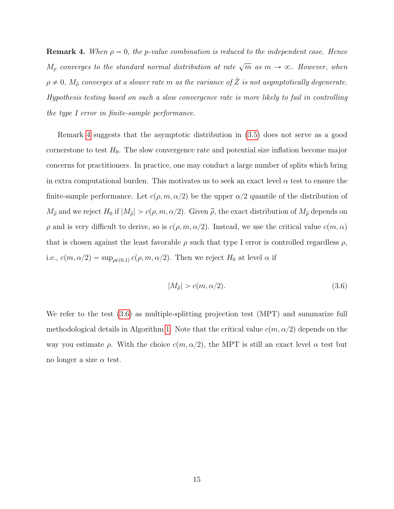<span id="page-14-0"></span>**Remark 4.** When  $\rho = 0$ , the p-value combination is reduced to the independent case. Hence  $M_{\rho}$  converges to the standard normal distribution at rate  $\sqrt{m}$  as  $m \to \infty$ . However, when  $\rho \neq 0$ ,  $M_{\hat{\rho}}$  converges at a slower rate m as the variance of  $\bar{Z}$  is not asymptotically degenerate. Hypothesis testing based on such a slow convergence rate is more likely to fail in controlling the type I error in finite-sample performance.

Remark [4](#page-14-0) suggests that the asymptotic distribution in [\(3.5\)](#page-13-1) does not serve as a good cornerstone to test  $H_0$ . The slow convergence rate and potential size inflation become major concerns for practitioners. In practice, one may conduct a large number of splits which bring in extra computational burden. This motivates us to seek an exact level  $\alpha$  test to ensure the finite-sample performance. Let  $c(\rho, m, \alpha/2)$  be the upper  $\alpha/2$  quantile of the distribution of  $M_{\hat{\rho}}$  and we reject  $H_0$  if  $|M_{\hat{\rho}}| > c(\rho, m, \alpha/2)$ . Given  $\hat{\rho}$ , the exact distribution of  $M_{\hat{\rho}}$  depends on  $\rho$  and is very difficult to derive, so is  $c(\rho, m, \alpha/2)$ . Instead, we use the critical value  $c(m, \alpha)$ that is chosen against the least favorable  $\rho$  such that type I error is controlled regardless  $\rho$ , i.e.,  $c(m, \alpha/2) = \sup_{\rho \in (0,1)} c(\rho, m, \alpha/2)$ . Then we reject  $H_0$  at level  $\alpha$  if

<span id="page-14-1"></span>
$$
|M_{\hat{\rho}}| > c(m, \alpha/2). \tag{3.6}
$$

We refer to the test [\(3.6\)](#page-14-1) as multiple-splitting projection test (MPT) and summarize full methodological details in Algorithm [1.](#page-15-0) Note that the critical value  $c(m, \alpha/2)$  depends on the way you estimate  $\rho$ . With the choice  $c(m, \alpha/2)$ , the MPT is still an exact level  $\alpha$  test but no longer a size  $\alpha$  test.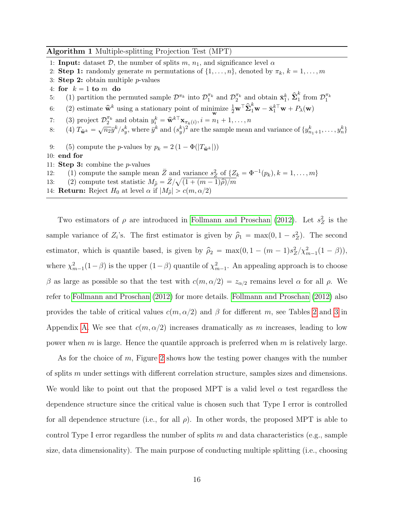#### <span id="page-15-0"></span>Algorithm 1 Multiple-splitting Projection Test (MPT)

- 1: **Input:** dataset  $\mathcal{D}$ , the number of splits  $m$ ,  $n_1$ , and significance level  $\alpha$
- 2: **Step 1:** randomly generate m permutations of  $\{1, \ldots, n\}$ , denoted by  $\pi_k$ ,  $k = 1, \ldots, m$
- 3: Step 2: obtain multiple  $p$ -values
- 4: for  $k = 1$  to m do
- 5: (1) partition the permuted sample  $\mathcal{D}^{\pi_k}$  into  $\mathcal{D}_1^{\pi_k}$  and  $\mathcal{D}_2^{\pi_k}$  and obtain  $\bar{\mathbf{x}}_1^k$ ,  $\hat{\mathbf{\Sigma}}_1^k$  $\frac{k}{1}$  from  $\mathcal{D}_1^{\pi_k}$
- 6: (2) estimate  $\hat{\mathbf{w}}^k$  using a stationary point of minimize  $\frac{1}{2}\mathbf{w}^\top \widehat{\boldsymbol{\Sigma}}_1^k \mathbf{w} - \bar{\mathbf{x}}_1^{k\top}\mathbf{w} + P_\lambda(\mathbf{w})$
- 7: (3) project  $\mathcal{D}_2^{\pi_k}$  and obtain  $y_i^k = \hat{\mathbf{w}}^{k\top} \mathbf{x}_{\pi_k(i)}, i = n_1 + 1, \ldots, n$
- 8: (4)  $T_{\hat{\mathbf{w}}^k} = \sqrt{n_2} \bar{y}^k / s_y^k$ , where  $\bar{y}^k$  and  $(s_y^k)^2$  are the sample mean and variance of  $\{y_{n_1+1}^k, \ldots, y_n^k\}$
- 9: (5) compute the *p*-values by  $p_k = 2 \left(1 \Phi(|T_{\hat{\mathbf{w}}^k}|)\right)$
- 10: end for
- 11: **Step 3:** combine the  $p$ -values
- 12: (1) compute the sample mean  $\overline{Z}$  and variance  $s_Z^2$  of  $\{Z_k = \Phi^{-1}(p_k), k = 1, \ldots, m\}$ 12: (1) compute the sample mean Z and<br>
13: (2) compute test statistic  $M_{\hat{\rho}} = \bar{Z}/\sqrt{2}$
- $\sqrt{(1 + (m-1)\hat{\rho})/m}$
- 14: **Return:** Reject  $H_0$  at level  $\alpha$  if  $|M_{\hat{\rho}}| > c(m, \alpha/2)$

Two estimators of  $\rho$  are introduced in [Follmann and Proschan](#page-23-8) [\(2012\)](#page-23-8). Let  $s_Z^2$  is the sample variance of  $Z_i$ 's. The first estimator is given by  $\hat{\rho}_1 = \max(0, 1 - s_Z^2)$ . The second estimator, which is quantile based, is given by  $\hat{\rho}_2 = \max(0, 1 - (m - 1)s_Z^2 / \chi_{m-1}^2 (1 - \beta)),$ where  $\chi^2_{m-1}(1-\beta)$  is the upper  $(1-\beta)$  quantile of  $\chi^2_{m-1}$ . An appealing approach is to choose β as large as possible so that the test with  $c(m, \alpha/2) = z_{\alpha/2}$  remains level α for all ρ. We refer to [Follmann and Proschan](#page-23-8) [\(2012\)](#page-23-8) for more details. [Follmann and Proschan](#page-23-8) [\(2012\)](#page-23-8) also provides the table of critical values  $c(m, \alpha/2)$  and β for different m, see Tables [2](#page-27-0) and [3](#page-27-1) in Appendix [A.](#page-27-2) We see that  $c(m, \alpha/2)$  increases dramatically as m increases, leading to low power when  $m$  is large. Hence the quantile approach is preferred when  $m$  is relatively large.

As for the choice of  $m$ , Figure [2](#page-16-1) shows how the testing power changes with the number of splits m under settings with different correlation structure, samples sizes and dimensions. We would like to point out that the proposed MPT is a valid level  $\alpha$  test regardless the dependence structure since the critical value is chosen such that Type I error is controlled for all dependence structure (i.e., for all  $\rho$ ). In other words, the proposed MPT is able to control Type I error regardless the number of splits  $m$  and data characteristics (e.g., sample size, data dimensionality). The main purpose of conducting multiple splitting (i.e., choosing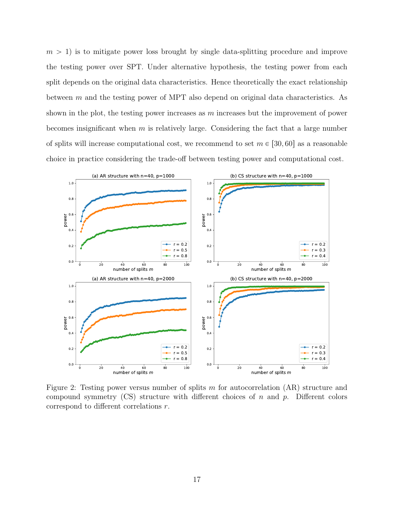$m > 1$ ) is to mitigate power loss brought by single data-splitting procedure and improve the testing power over SPT. Under alternative hypothesis, the testing power from each split depends on the original data characteristics. Hence theoretically the exact relationship between m and the testing power of MPT also depend on original data characteristics. As shown in the plot, the testing power increases as  $m$  increases but the improvement of power becomes insignificant when  $m$  is relatively large. Considering the fact that a large number of splits will increase computational cost, we recommend to set  $m \in [30, 60]$  as a reasonable choice in practice considering the trade-off between testing power and computational cost.

<span id="page-16-1"></span>

<span id="page-16-0"></span>Figure 2: Testing power versus number of splits m for autocorrelation (AR) structure and compound symmetry  $(CS)$  structure with different choices of n and p. Different colors correspond to different correlations r.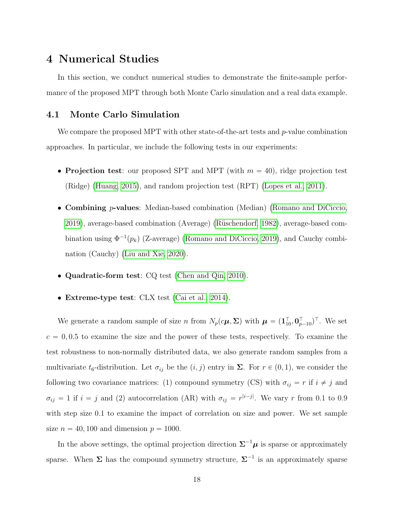## 4 Numerical Studies

In this section, we conduct numerical studies to demonstrate the finite-sample performance of the proposed MPT through both Monte Carlo simulation and a real data example.

#### 4.1 Monte Carlo Simulation

We compare the proposed MPT with other state-of-the-art tests and  $p$ -value combination approaches. In particular, we include the following tests in our experiments:

- Projection test: our proposed SPT and MPT (with  $m = 40$ ), ridge projection test (Ridge) [\(Huang, 2015\)](#page-24-2), and random projection test (RPT) [\(Lopes et al., 2011\)](#page-24-1).
- Combining p-values: Median-based combination (Median) [\(Romano and DiCiccio,](#page-25-7) [2019\)](#page-25-7), average-based combination (Average) [\(R¨uschendorf, 1982\)](#page-25-8), average-based combination using  $\Phi^{-1}(p_k)$  (Z-average) [\(Romano and DiCiccio, 2019\)](#page-25-7), and Cauchy combination (Cauchy) [\(Liu and Xie, 2020\)](#page-24-8).
- Quadratic-form test: CQ test [\(Chen and Qin, 2010\)](#page-23-2).
- Extreme-type test: CLX test [\(Cai et al., 2014\)](#page-23-3).

We generate a random sample of size n from  $N_p(c\mu, \Sigma)$  with  $\mu = (\mathbf{1}_{10}^\top, \mathbf{0}_{p-10}^\top)^\top$ . We set  $c = 0, 0.5$  to examine the size and the power of these tests, respectively. To examine the test robustness to non-normally distributed data, we also generate random samples from a multivariate  $t_6$ -distribution. Let  $\sigma_{ij}$  be the  $(i, j)$  entry in  $\Sigma$ . For  $r \in (0, 1)$ , we consider the following two covariance matrices: (1) compound symmetry (CS) with  $\sigma_{ij} = r$  if  $i \neq j$  and  $\sigma_{ij} = 1$  if  $i = j$  and (2) autocorrelation (AR) with  $\sigma_{ij} = r^{|i-j|}$ . We vary r from 0.1 to 0.9 with step size 0.1 to examine the impact of correlation on size and power. We set sample size  $n = 40, 100$  and dimension  $p = 1000$ .

In the above settings, the optimal projection direction  $\Sigma^{-1}\mu$  is sparse or approximately sparse. When  $\Sigma$  has the compound symmetry structure,  $\Sigma^{-1}$  is an approximately sparse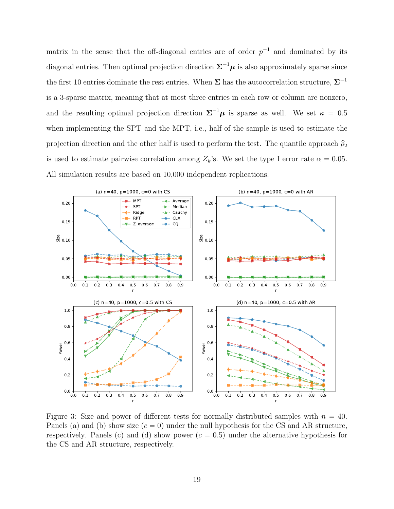matrix in the sense that the off-diagonal entries are of order  $p^{-1}$  and dominated by its diagonal entries. Then optimal projection direction  $\Sigma^{-1}\mu$  is also approximately sparse since the first 10 entries dominate the rest entries. When  $\Sigma$  has the autocorrelation structure,  $\Sigma^{-1}$ is a 3-sparse matrix, meaning that at most three entries in each row or column are nonzero, and the resulting optimal projection direction  $\Sigma^{-1}\mu$  is sparse as well. We set  $\kappa = 0.5$ when implementing the SPT and the MPT, i.e., half of the sample is used to estimate the projection direction and the other half is used to perform the test. The quantile approach  $\hat{\rho}_2$ is used to estimate pairwise correlation among  $Z_k$ 's. We set the type I error rate  $\alpha = 0.05$ . All simulation results are based on 10,000 independent replications.

<span id="page-18-0"></span>

Figure 3: Size and power of different tests for normally distributed samples with  $n = 40$ . Panels (a) and (b) show size  $(c = 0)$  under the null hypothesis for the CS and AR structure, respectively. Panels (c) and (d) show power  $(c = 0.5)$  under the alternative hypothesis for the CS and AR structure, respectively.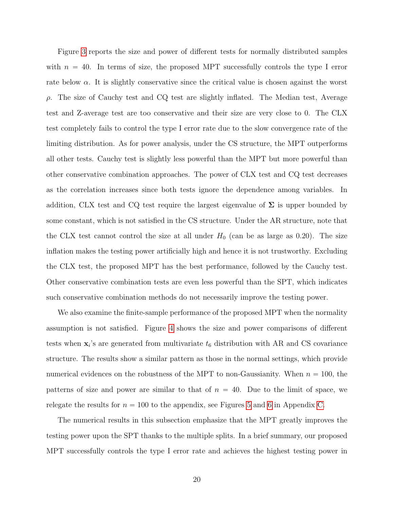Figure [3](#page-18-0) reports the size and power of different tests for normally distributed samples with  $n = 40$ . In terms of size, the proposed MPT successfully controls the type I error rate below  $\alpha$ . It is slightly conservative since the critical value is chosen against the worst  $\rho$ . The size of Cauchy test and CQ test are slightly inflated. The Median test, Average test and Z-average test are too conservative and their size are very close to 0. The CLX test completely fails to control the type I error rate due to the slow convergence rate of the limiting distribution. As for power analysis, under the CS structure, the MPT outperforms all other tests. Cauchy test is slightly less powerful than the MPT but more powerful than other conservative combination approaches. The power of CLX test and CQ test decreases as the correlation increases since both tests ignore the dependence among variables. In addition, CLX test and CQ test require the largest eigenvalue of  $\Sigma$  is upper bounded by some constant, which is not satisfied in the CS structure. Under the AR structure, note that the CLX test cannot control the size at all under  $H_0$  (can be as large as 0.20). The size inflation makes the testing power artificially high and hence it is not trustworthy. Excluding the CLX test, the proposed MPT has the best performance, followed by the Cauchy test. Other conservative combination tests are even less powerful than the SPT, which indicates such conservative combination methods do not necessarily improve the testing power.

We also examine the finite-sample performance of the proposed MPT when the normality assumption is not satisfied. Figure [4](#page-20-0) shows the size and power comparisons of different tests when  $\mathbf{x}_i$ 's are generated from multivariate  $t_6$  distribution with AR and CS covariance structure. The results show a similar pattern as those in the normal settings, which provide numerical evidences on the robustness of the MPT to non-Gaussianity. When  $n = 100$ , the patterns of size and power are similar to that of  $n = 40$ . Due to the limit of space, we relegate the results for  $n = 100$  to the appendix, see Figures [5](#page-36-0) and [6](#page-37-0) in Appendix [C.](#page-35-0)

The numerical results in this subsection emphasize that the MPT greatly improves the testing power upon the SPT thanks to the multiple splits. In a brief summary, our proposed MPT successfully controls the type I error rate and achieves the highest testing power in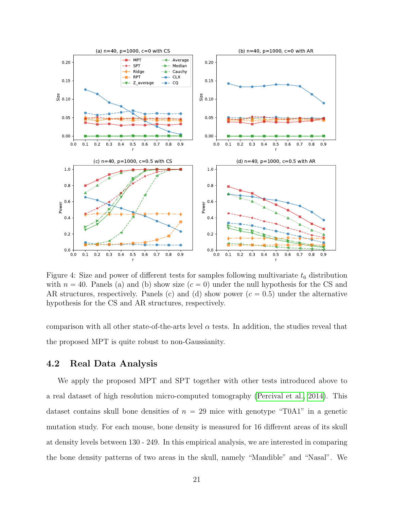<span id="page-20-0"></span>

Figure 4: Size and power of different tests for samples following multivariate  $t_6$  distribution with  $n = 40$ . Panels (a) and (b) show size  $(c = 0)$  under the null hypothesis for the CS and AR structures, respectively. Panels (c) and (d) show power  $(c = 0.5)$  under the alternative hypothesis for the CS and AR structures, respectively.

comparison with all other state-of-the-arts level  $\alpha$  tests. In addition, the studies reveal that the proposed MPT is quite robust to non-Gaussianity.

#### 4.2 Real Data Analysis

We apply the proposed MPT and SPT together with other tests introduced above to a real dataset of high resolution micro-computed tomography [\(Percival et al., 2014\)](#page-25-9). This dataset contains skull bone densities of  $n = 29$  mice with genotype "T0A1" in a genetic mutation study. For each mouse, bone density is measured for 16 different areas of its skull at density levels between 130 - 249. In this empirical analysis, we are interested in comparing the bone density patterns of two areas in the skull, namely "Mandible" and "Nasal". We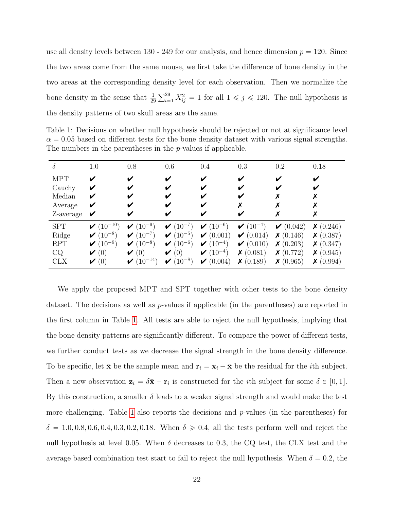use all density levels between  $130 - 249$  for our analysis, and hence dimension  $p = 120$ . Since the two areas come from the same mouse, we first take the difference of bone density in the two areas at the corresponding density level for each observation. Then we normalize the bone density in the sense that  $\frac{1}{29}$  $\overline{\nabla}^{29}$  $_{i=1}^{29} X_{ij}^2 = 1$  for all  $1 \leq j \leq 120$ . The null hypothesis is the density patterns of two skull areas are the same.

<span id="page-21-0"></span>Table 1: Decisions on whether null hypothesis should be rejected or not at significance level  $\alpha = 0.05$  based on different tests for the bone density dataset with various signal strengths. The numbers in the parentheses in the *p*-values if applicable.

| $\delta$   | 1.0                               | 0.8               | 0.6               | 0.4              | 0.3              | 0.2               | 0.18             |
|------------|-----------------------------------|-------------------|-------------------|------------------|------------------|-------------------|------------------|
| <b>MPT</b> | V                                 | V                 | V                 | ✔                | V                |                   | ✔                |
| Cauchy     | V                                 |                   |                   |                  |                  |                   |                  |
| Median     | V                                 |                   |                   |                  |                  |                   |                  |
| Average    | V                                 |                   | V                 |                  | χ                |                   |                  |
| Z-average  | V                                 |                   | V                 |                  |                  |                   |                  |
| <b>SPT</b> | $\blacktriangledown$ $(10^{-10})$ | $(10^{-9})$<br>V  | $\checkmark$ (10) | $(10^{-6})$<br>V | $(10^{-4})$<br>V | $\bigvee$ (0.042) | $\times (0.246)$ |
| Ridge      | $(10^{-8})$<br>V                  | $(10^{-7})$<br>V  | $(10^{-5})$<br>V  | (0.001)<br>V     | (0.014)<br>V     | $\times (0.146)$  | X(0.387)         |
| <b>RPT</b> | $(10^{-9})$<br>V                  | $(10^{-8})$<br>V  | $(10^{-6})$<br>V  | $(10^{-4})$<br>V | (0.010)<br>V     | $\times (0.203)$  | $\times (0.347)$ |
| CQ         | $\blacktriangleright$ (0)         | (0)<br>V          | (0)<br>V          | $(10^{-4})$<br>V | $\times (0.081)$ | $\times (0.772)$  | $\times (0.945)$ |
| <b>CLX</b> | $\blacktriangleright$ (0)         | $(10^{-14})$<br>V | $(10^{-8})$<br>V  | (0.004)<br>V     | $\times (0.189)$ | $\times (0.965)$  | $\times (0.994)$ |

We apply the proposed MPT and SPT together with other tests to the bone density dataset. The decisions as well as p-values if applicable (in the parentheses) are reported in the first column in Table [1.](#page-21-0) All tests are able to reject the null hypothesis, implying that the bone density patterns are significantly different. To compare the power of different tests, we further conduct tests as we decrease the signal strength in the bone density difference. To be specific, let  $\bar{\mathbf{x}}$  be the sample mean and  $\mathbf{r}_i = \mathbf{x}_i - \bar{\mathbf{x}}$  be the residual for the *i*th subject. Then a new observation  $\mathbf{z}_i = \delta \bar{\mathbf{x}} + \mathbf{r}_i$  is constructed for the *i*th subject for some  $\delta \in [0, 1]$ . By this construction, a smaller  $\delta$  leads to a weaker signal strength and would make the test more challenging. Table [1](#page-21-0) also reports the decisions and  $p$ -values (in the parentheses) for  $\delta = 1.0, 0.8, 0.6, 0.4, 0.3, 0.2, 0.18$ . When  $\delta \ge 0.4$ , all the tests perform well and reject the null hypothesis at level 0.05. When  $\delta$  decreases to 0.3, the CQ test, the CLX test and the average based combination test start to fail to reject the null hypothesis. When  $\delta = 0.2$ , the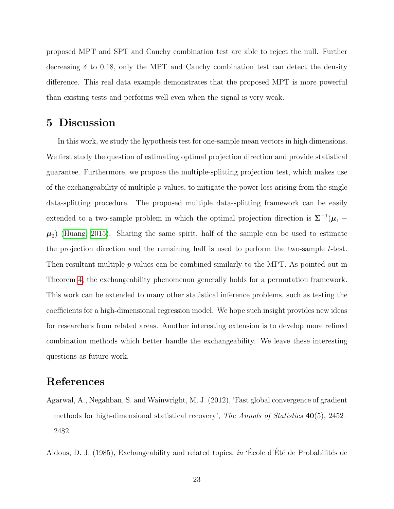proposed MPT and SPT and Cauchy combination test are able to reject the null. Further decreasing  $\delta$  to 0.18, only the MPT and Cauchy combination test can detect the density difference. This real data example demonstrates that the proposed MPT is more powerful than existing tests and performs well even when the signal is very weak.

## <span id="page-22-0"></span>5 Discussion

In this work, we study the hypothesis test for one-sample mean vectors in high dimensions. We first study the question of estimating optimal projection direction and provide statistical guarantee. Furthermore, we propose the multiple-splitting projection test, which makes use of the exchangeability of multiple p-values, to mitigate the power loss arising from the single data-splitting procedure. The proposed multiple data-splitting framework can be easily extended to a two-sample problem in which the optimal projection direction is  $\Sigma^{-1}(\mu_1 \mu_2$ ) [\(Huang, 2015\)](#page-24-2). Sharing the same spirit, half of the sample can be used to estimate the projection direction and the remaining half is used to perform the two-sample t-test. Then resultant multiple p-values can be combined similarly to the MPT. As pointed out in Theorem [4,](#page-11-1) the exchangeability phenomenon generally holds for a permutation framework. This work can be extended to many other statistical inference problems, such as testing the coefficients for a high-dimensional regression model. We hope such insight provides new ideas for researchers from related areas. Another interesting extension is to develop more refined combination methods which better handle the exchangeability. We leave these interesting questions as future work.

## <span id="page-22-1"></span>References

Agarwal, A., Negahban, S. and Wainwright, M. J. (2012), 'Fast global convergence of gradient methods for high-dimensional statistical recovery', The Annals of Statistics  $40(5)$ , 2452– 2482.

<span id="page-22-2"></span>Aldous, D. J. (1985), Exchangeability and related topics, in 'École d'Été de Probabilités de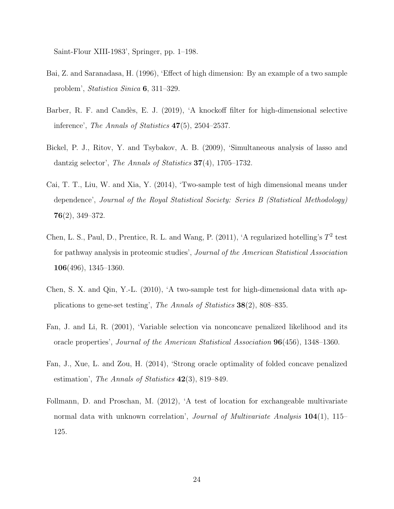Saint-Flour XIII-1983', Springer, pp. 1–198.

- <span id="page-23-0"></span>Bai, Z. and Saranadasa, H. (1996), 'Effect of high dimension: By an example of a two sample problem', Statistica Sinica 6, 311–329.
- <span id="page-23-7"></span>Barber, R. F. and Candès, E. J. (2019), 'A knockoff filter for high-dimensional selective inference', The Annals of Statistics 47(5), 2504–2537.
- <span id="page-23-5"></span>Bickel, P. J., Ritov, Y. and Tsybakov, A. B. (2009), 'Simultaneous analysis of lasso and dantzig selector', The Annals of Statistics 37(4), 1705–1732.
- <span id="page-23-3"></span>Cai, T. T., Liu, W. and Xia, Y. (2014), 'Two-sample test of high dimensional means under dependence', Journal of the Royal Statistical Society: Series B (Statistical Methodology) 76(2), 349–372.
- <span id="page-23-1"></span>Chen, L. S., Paul, D., Prentice, R. L. and Wang, P.  $(2011)$ , 'A regularized hotelling's  $T^2$  test for pathway analysis in proteomic studies', Journal of the American Statistical Association 106(496), 1345–1360.
- <span id="page-23-2"></span>Chen, S. X. and Qin, Y.-L. (2010), 'A two-sample test for high-dimensional data with applications to gene-set testing', The Annals of Statistics 38(2), 808–835.
- <span id="page-23-4"></span>Fan, J. and Li, R. (2001), 'Variable selection via nonconcave penalized likelihood and its oracle properties', Journal of the American Statistical Association 96(456), 1348–1360.
- <span id="page-23-6"></span>Fan, J., Xue, L. and Zou, H. (2014), 'Strong oracle optimality of folded concave penalized estimation', The Annals of Statistics  $42(3)$ , 819–849.
- <span id="page-23-8"></span>Follmann, D. and Proschan, M. (2012), 'A test of location for exchangeable multivariate normal data with unknown correlation', *Journal of Multivariate Analysis* 104(1), 115– 125.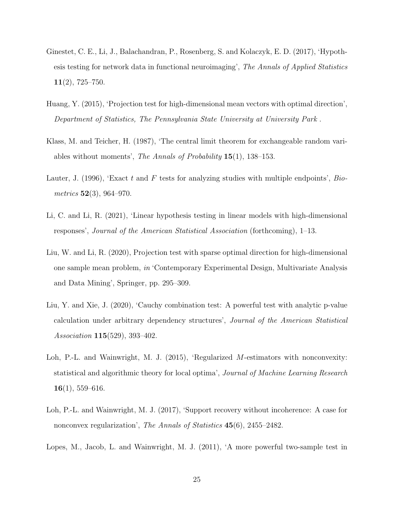- <span id="page-24-0"></span>Ginestet, C. E., Li, J., Balachandran, P., Rosenberg, S. and Kolaczyk, E. D. (2017), 'Hypothesis testing for network data in functional neuroimaging', The Annals of Applied Statistics  $11(2)$ , 725–750.
- <span id="page-24-2"></span>Huang, Y. (2015), 'Projection test for high-dimensional mean vectors with optimal direction', Department of Statistics, The Pennsylvania State University at University Park .
- <span id="page-24-9"></span>Klass, M. and Teicher, H. (1987), 'The central limit theorem for exchangeable random variables without moments', The Annals of Probability 15(1), 138–153.
- <span id="page-24-5"></span>Lauter, J. (1996), 'Exact t and F tests for analyzing studies with multiple endpoints', Biometrics 52(3), 964–970.
- <span id="page-24-4"></span>Li, C. and Li, R. (2021), 'Linear hypothesis testing in linear models with high-dimensional responses', Journal of the American Statistical Association (forthcoming), 1–13.
- <span id="page-24-3"></span>Liu, W. and Li, R. (2020), Projection test with sparse optimal direction for high-dimensional one sample mean problem, in 'Contemporary Experimental Design, Multivariate Analysis and Data Mining', Springer, pp. 295–309.
- <span id="page-24-8"></span>Liu, Y. and Xie, J. (2020), 'Cauchy combination test: A powerful test with analytic p-value calculation under arbitrary dependency structures', Journal of the American Statistical Association 115(529), 393–402.
- <span id="page-24-6"></span>Loh, P.-L. and Wainwright, M. J. (2015), 'Regularized M-estimators with nonconvexity: statistical and algorithmic theory for local optima', Journal of Machine Learning Research  $16(1), 559-616.$
- <span id="page-24-7"></span>Loh, P.-L. and Wainwright, M. J. (2017), 'Support recovery without incoherence: A case for nonconvex regularization', The Annals of Statistics 45(6), 2455-2482.
- <span id="page-24-1"></span>Lopes, M., Jacob, L. and Wainwright, M. J. (2011), 'A more powerful two-sample test in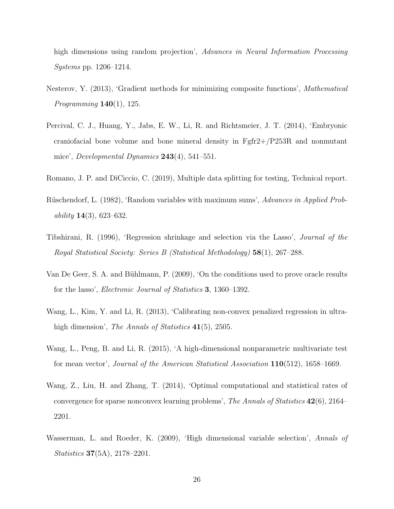high dimensions using random projection', Advances in Neural Information Processing Systems pp. 1206–1214.

- <span id="page-25-4"></span>Nesterov, Y. (2013), 'Gradient methods for minimizing composite functions', Mathematical *Programming*  $140(1)$ , 125.
- <span id="page-25-9"></span>Percival, C. J., Huang, Y., Jabs, E. W., Li, R. and Richtsmeier, J. T. (2014), 'Embryonic craniofacial bone volume and bone mineral density in Fgfr2+/P253R and nonmutant mice', *Developmental Dynamics*  $243(4)$ , 541–551.
- <span id="page-25-7"></span>Romano, J. P. and DiCiccio, C. (2019), Multiple data splitting for testing, Technical report.
- <span id="page-25-8"></span>Rüschendorf, L. (1982), 'Random variables with maximum sums', Advances in Applied Probability  $14(3)$ , 623–632.
- <span id="page-25-1"></span>Tibshirani, R. (1996), 'Regression shrinkage and selection via the Lasso', Journal of the Royal Statistical Society: Series B (Statistical Methodology) 58(1), 267–288.
- <span id="page-25-2"></span>Van De Geer, S. A. and Bühlmann, P. (2009), 'On the conditions used to prove oracle results for the lasso', Electronic Journal of Statistics 3, 1360–1392.
- <span id="page-25-3"></span>Wang, L., Kim, Y. and Li, R. (2013), 'Calibrating non-convex penalized regression in ultrahigh dimension', *The Annals of Statistics* 41(5), 2505.
- <span id="page-25-0"></span>Wang, L., Peng, B. and Li, R. (2015), 'A high-dimensional nonparametric multivariate test for mean vector', Journal of the American Statistical Association 110(512), 1658–1669.
- <span id="page-25-5"></span>Wang, Z., Liu, H. and Zhang, T. (2014), 'Optimal computational and statistical rates of convergence for sparse nonconvex learning problems', The Annals of Statistics  $42(6)$ , 2164– 2201.
- <span id="page-25-6"></span>Wasserman, L. and Roeder, K. (2009), 'High dimensional variable selection', Annals of Statistics 37(5A), 2178–2201.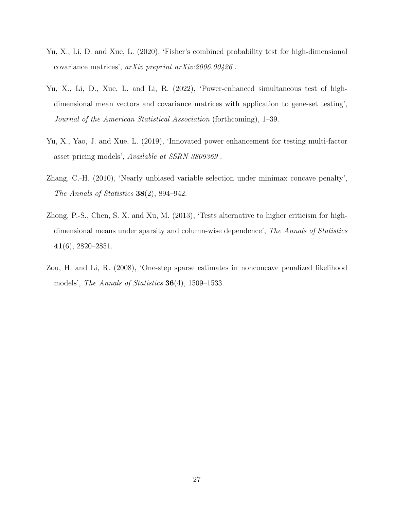- <span id="page-26-4"></span>Yu, X., Li, D. and Xue, L. (2020), 'Fisher's combined probability test for high-dimensional covariance matrices', arXiv preprint arXiv:2006.00426 .
- <span id="page-26-5"></span>Yu, X., Li, D., Xue, L. and Li, R. (2022), 'Power-enhanced simultaneous test of highdimensional mean vectors and covariance matrices with application to gene-set testing', Journal of the American Statistical Association (forthcoming), 1–39.
- <span id="page-26-3"></span>Yu, X., Yao, J. and Xue, L. (2019), 'Innovated power enhancement for testing multi-factor asset pricing models', Available at SSRN 3809369 .
- <span id="page-26-1"></span>Zhang, C.-H. (2010), 'Nearly unbiased variable selection under minimax concave penalty', The Annals of Statistics  $38(2)$ , 894-942.
- <span id="page-26-0"></span>Zhong, P.-S., Chen, S. X. and Xu, M. (2013), 'Tests alternative to higher criticism for highdimensional means under sparsity and column-wise dependence', The Annals of Statistics  $41(6)$ , 2820–2851.
- <span id="page-26-2"></span>Zou, H. and Li, R. (2008), 'One-step sparse estimates in nonconcave penalized likelihood models', The Annals of Statistics  $36(4)$ , 1509–1533.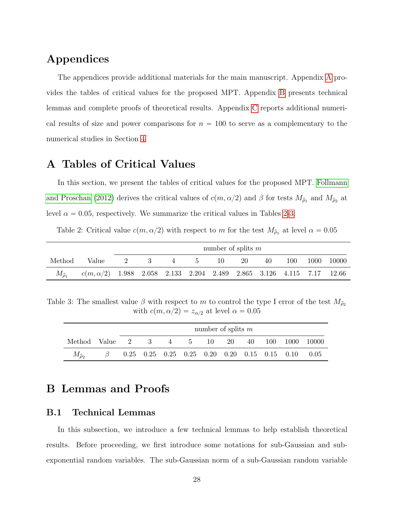# Appendices

The appendices provide additional materials for the main manuscript. Appendix [A](#page-27-2) provides the tables of critical values for the proposed MPT. Appendix [B](#page-27-3) presents technical lemmas and complete proofs of theoretical results. Appendix [C](#page-35-0) reports additional numerical results of size and power comparisons for  $n = 100$  to serve as a complementary to the numerical studies in Section [4.](#page-16-0)

## <span id="page-27-2"></span>A Tables of Critical Values

In this section, we present the tables of critical values for the proposed MPT. [Follmann](#page-23-8) [and Proschan](#page-23-8) [\(2012\)](#page-23-8) derives the critical values of  $c(m, \alpha/2)$  and  $\beta$  for tests  $M_{\hat{\rho}_1}$  and  $M_{\hat{\rho}_2}$  at level  $\alpha = 0.05$ , respectively. We summarize the critical values in Tables [2](#page-27-0)[-3.](#page-27-1)

<span id="page-27-0"></span>Table 2: Critical value  $c(m, \alpha/2)$  with respect to m for the test  $M_{\hat{\rho}_1}$  at level  $\alpha = 0.05$ 

|                        |                                                                             | number of splits $m$ |             |   |              |    |    |    |     |      |       |
|------------------------|-----------------------------------------------------------------------------|----------------------|-------------|---|--------------|----|----|----|-----|------|-------|
| Method                 | Value                                                                       | 2                    | $3^{\circ}$ | 4 | $\mathbf{h}$ | 10 | 20 | 40 | 100 | 1000 | 10000 |
| $M_{\widehat{\rho}_1}$ | $c(m, \alpha/2)$ 1.988 2.058 2.133 2.204 2.489 2.865 3.126 4.115 7.17 12.66 |                      |             |   |              |    |    |    |     |      |       |

<span id="page-27-1"></span>Table 3: The smallest value  $\beta$  with respect to m to control the type I error of the test  $M_{\hat{\rho}_2}$ with  $c(m, \alpha/2) = z_{\alpha/2}$  at level  $\alpha = 0.05$ 

|                                        | number of splits $m$ |  |  |  |  |  |  |  |                                                                       |                   |
|----------------------------------------|----------------------|--|--|--|--|--|--|--|-----------------------------------------------------------------------|-------------------|
| Method Value $2 \t3 \t4 \t5 \t10 \t20$ |                      |  |  |  |  |  |  |  |                                                                       | 40 100 1000 10000 |
| $M_{\hat{\rho}_2}$                     |                      |  |  |  |  |  |  |  | $0.25$ $0.25$ $0.25$ $0.25$ $0.20$ $0.20$ $0.15$ $0.15$ $0.10$ $0.05$ |                   |

## <span id="page-27-3"></span>B Lemmas and Proofs

#### B.1 Technical Lemmas

In this subsection, we introduce a few technical lemmas to help establish theoretical results. Before proceeding, we first introduce some notations for sub-Gaussian and subexponential random variables. The sub-Gaussian norm of a sub-Gaussian random variable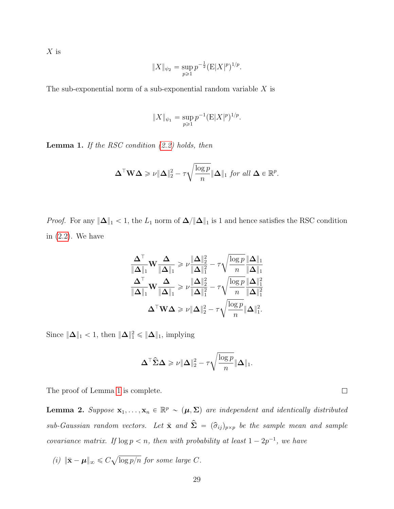$X$  is

$$
||X||_{\psi_2} = \sup_{p \geq 1} p^{-\frac{1}{2}} (E|X|^p)^{1/p}.
$$

The sub-exponential norm of a sub-exponential random variable  $X$  is

$$
||X||_{\psi_1} = \sup_{p \ge 1} p^{-1} (E|X|^p)^{1/p}.
$$

<span id="page-28-0"></span>**Lemma 1.** If the RSC condition  $(2.2)$  holds, then

$$
\Delta^{\top} \mathbf{W} \Delta \geqslant \nu \|\Delta\|_2^2 - \tau \sqrt{\frac{\log p}{n}} \|\Delta\|_1 \text{ for all } \Delta \in \mathbb{R}^p.
$$

*Proof.* For any  $\|\Delta\|_1 < 1$ , the  $L_1$  norm of  $\Delta/\|\Delta\|_1$  is 1 and hence satisfies the RSC condition in [\(2.2\)](#page-5-1). We have

$$
\frac{\mathbf{\Delta}^{\top}}{\|\mathbf{\Delta}\|_1}\mathbf{W}\frac{\mathbf{\Delta}}{\|\mathbf{\Delta}\|_1} \geqslant \nu \frac{\|\mathbf{\Delta}\|_2^2}{\|\mathbf{\Delta}\|_1^2} - \tau \sqrt{\frac{\log p}{n}} \frac{\|\mathbf{\Delta}\|_1}{\|\mathbf{\Delta}\|_1}
$$
\n
$$
\frac{\mathbf{\Delta}^{\top}}{\|\mathbf{\Delta}\|_1}\mathbf{W}\frac{\mathbf{\Delta}}{\|\mathbf{\Delta}\|_1} \geqslant \nu \frac{\|\mathbf{\Delta}\|_2^2}{\|\mathbf{\Delta}\|_1^2} - \tau \sqrt{\frac{\log p}{n}} \frac{\|\mathbf{\Delta}\|_1^2}{\|\mathbf{\Delta}\|_1^2}
$$
\n
$$
\mathbf{\Delta}^{\top}\mathbf{W}\mathbf{\Delta} \geqslant \nu \|\mathbf{\Delta}\|_2^2 - \tau \sqrt{\frac{\log p}{n}} \|\mathbf{\Delta}\|_1^2.
$$

Since  $\|\mathbf{\Delta}\|_1 < 1$ , then  $\|\mathbf{\Delta}\|_1^2 \leq \|\mathbf{\Delta}\|_1$ , implying

$$
\mathbf{\Delta}^{\top} \widehat{\boldsymbol{\Sigma}} \mathbf{\Delta} \geqslant \nu \|\mathbf{\Delta}\|_2^2 - \tau \sqrt{\frac{\log p}{n}} \|\mathbf{\Delta}\|_1.
$$

The proof of Lemma [1](#page-28-0) is complete.

**Lemma 2.** Suppose  $\mathbf{x}_1, \ldots, \mathbf{x}_n \in \mathbb{R}^p$   $\sim (\mu, \Sigma)$  are independent and identically distributed sub-Gaussian random vectors. Let  $\bar{\mathbf{x}}$  and  $\hat{\Sigma} = (\hat{\sigma}_{ij})_{p \times p}$  be the sample mean and sample covariance matrix. If  $\log p < n$ , then with probability at least  $1 - 2p^{-1}$ , we have

(i)  $\|\bar{\mathbf{x}} - \boldsymbol{\mu}\|_{\infty} \leq C$  $\log p/n$  for some large C.  $\Box$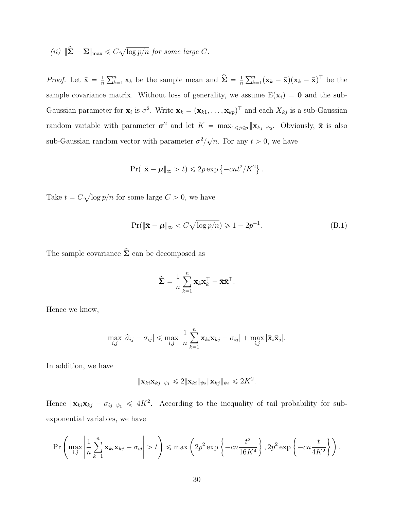<span id="page-29-0"></span>(ii) 
$$
\|\hat{\Sigma} - \Sigma\|_{\text{max}} \leqslant C \sqrt{\log p/n}
$$
 for some large C.

*Proof.* Let  $\bar{\mathbf{x}} = \frac{1}{n}$ n  $\sum_{k=1}^{n} \mathbf{x}_k$  be the sample mean and  $\hat{\Sigma} = \frac{1}{n}$ n  $\sum_{n}$  $\sum_{k=1}^n (\mathbf{x}_k - \bar{\mathbf{x}})(\mathbf{x}_k - \bar{\mathbf{x}})^{\top}$  be the sample covariance matrix. Without loss of generality, we assume  $E(\mathbf{x}_i) = \mathbf{0}$  and the sub-Gaussian parameter for  $\mathbf{x}_i$  is  $\sigma^2$ . Write  $\mathbf{x}_k = (\mathbf{x}_{k1}, \dots, \mathbf{x}_{kp})^\top$  and each  $X_{kj}$  is a sub-Gaussian random variable with parameter  $\sigma^2$  and let  $K = \max_{1 \leq j \leq p} ||\mathbf{x}_{kj}||_{\psi_2}$ . Obviously,  $\bar{\mathbf{x}}$  is also sub-Gaussian random vector with parameter  $\sigma^2/$  $\sqrt{n}$ . For any  $t > 0$ , we have

$$
\Pr(\|\bar{\mathbf{x}} - \boldsymbol{\mu}\|_{\infty} > t) \leq 2p \exp\left\{-cnt^2/K^2\right\}.
$$

Take  $t = C$ a  $\log p/n$  for some large  $C > 0$ , we have

$$
\Pr(\|\bar{\mathbf{x}} - \boldsymbol{\mu}\|_{\infty} < C\sqrt{\log p/n}) \geq 1 - 2p^{-1}.\tag{B.1}
$$

The sample covariance  $\hat{\Sigma}$  can be decomposed as

$$
\hat{\mathbf{\Sigma}} = \frac{1}{n} \sum_{k=1}^{n} \mathbf{x}_k \mathbf{x}_k^{\top} - \bar{\mathbf{x}} \bar{\mathbf{x}}^{\top}.
$$

Hence we know,

$$
\max_{i,j} |\hat{\sigma}_{ij} - \sigma_{ij}| \leqslant \max_{i,j} |\frac{1}{n} \sum_{k=1}^n \mathbf{x}_{ki} \mathbf{x}_{kj} - \sigma_{ij}| + \max_{i,j} |\bar{\mathbf{x}}_i \bar{\mathbf{x}}_j|.
$$

In addition, we have

$$
\|\mathbf{x}_{ki}\mathbf{x}_{kj}\|_{\psi_1} \leq 2\|\mathbf{x}_{ki}\|_{\psi_2}\|\mathbf{x}_{kj}\|_{\psi_2} \leq 2K^2.
$$

Hence  $\|\mathbf{x}_{ki}\mathbf{x}_{kj} - \sigma_{ij}\|_{\psi_1} \leq 4K^2$ . According to the inequality of tail probability for subexponential variables, we have

$$
\Pr\left(\max_{i,j}\left|\frac{1}{n}\sum_{k=1}^n\mathbf{x}_{ki}\mathbf{x}_{kj}-\sigma_{ij}\right|>t\right)\leqslant\max\left(2p^2\exp\left\{-cn\frac{t^2}{16K^4}\right\},2p^2\exp\left\{-cn\frac{t}{4K^2}\right\}\right).
$$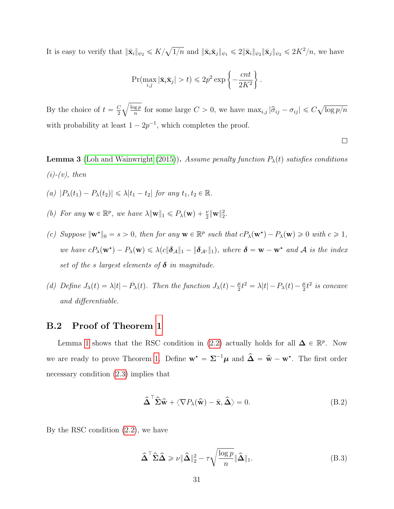It is easy to verify that  $\|\bar{\mathbf{x}}_i\|_{\psi_2} \leqslant K/$  $\overline{1/n}$  and  $\|\bar{\mathbf{x}}_i\bar{\mathbf{x}}_j\|_{\psi_1} \leq 2\|\bar{\mathbf{x}}_i\|_{\psi_2} \|\bar{\mathbf{x}}_j\|_{\psi_2} \leq 2K^2/n$ , we have

$$
\Pr(\max_{i,j} |\bar{\mathbf{x}}_i \bar{\mathbf{x}}_j| > t) \leq 2p^2 \exp\left\{-\frac{cnt}{2K^2}\right\}.
$$

By the choice of  $t = \frac{C}{2}$ 2  $\log p$  $\frac{\log p}{n}$  for some large  $C > 0$ , we have  $\max_{i,j} |\hat{\sigma}_{ij} - \sigma_{ij}| \leq C$  $\log p/n$ with probability at least  $1 - 2p^{-1}$ , which completes the proof.

**Lemma 3** [\(Loh and Wainwright](#page-24-6) [\(2015\)](#page-24-6)). Assume penalty function  $P_{\lambda}(t)$  satisfies conditions  $(i)-(v)$ , then

- (a)  $|P_\lambda(t_1) P_\lambda(t_2)| \leq \lambda |t_1 t_2|$  for any  $t_1, t_2 \in \mathbb{R}$ .
- (b) For any  $\mathbf{w} \in \mathbb{R}^p$ , we have  $\lambda \|\mathbf{w}\|_1 \leq P_\lambda(\mathbf{w}) + \frac{\nu}{2} \|\mathbf{w}\|_2^2$ .
- (c) Suppose  $\|\mathbf{w}^*\|_0 = s > 0$ , then for any  $\mathbf{w} \in \mathbb{R}^p$  such that  $cP_\lambda(\mathbf{w}^*) P_\lambda(\mathbf{w}) \geq 0$  with  $c \geq 1$ , we have  $cP_{\lambda}(\mathbf{w}^{\star}) - P_{\lambda}(\mathbf{w}) \leq \lambda (c \|\boldsymbol{\delta}_{\mathcal{A}}\|_{1} - \|\boldsymbol{\delta}_{\mathcal{A}^c}\|_{1}),$  where  $\boldsymbol{\delta} = \mathbf{w} - \mathbf{w}^{\star}$  and  $\boldsymbol{\mathcal{A}}$  is the index set of the s largest elements of  $\delta$  in magnitude.
- <span id="page-30-2"></span>(d) Define  $J_{\lambda}(t) = \lambda |t| - P_{\lambda}(t)$ . Then the function  $J_{\lambda}(t) - \frac{\mu}{2}t^2 = \lambda |t| - P_{\lambda}(t) - \frac{\mu}{2}t^2$  is concave and differentiable.

#### B.2 Proof of Theorem [1](#page-7-0)

Lemma [1](#page-28-0) shows that the RSC condition in [\(2.2\)](#page-5-1) actually holds for all  $\Delta \in \mathbb{R}^p$ . Now we are ready to prove Theorem [1.](#page-7-0) Define  $\mathbf{w}^* = \Sigma^{-1} \mu$  and  $\hat{\Delta} = \hat{\mathbf{w}} - \mathbf{w}^*$ . The first order necessary condition [\(2.3\)](#page-6-0) implies that

<span id="page-30-0"></span>
$$
\widehat{\boldsymbol{\Delta}}^{\top} \widehat{\boldsymbol{\Sigma}} \widehat{\mathbf{w}} + \langle \nabla P_{\lambda}(\widehat{\mathbf{w}}) - \bar{\mathbf{x}}, \widehat{\boldsymbol{\Delta}} \rangle = 0.
$$
 (B.2)

 $\Box$ 

By the RSC condition [\(2.2\)](#page-5-1), we have

<span id="page-30-1"></span>
$$
\hat{\Delta}^{\top} \hat{\Sigma} \hat{\Delta} \ge \nu \|\hat{\Delta}\|_{2}^{2} - \tau \sqrt{\frac{\log p}{n}} \|\hat{\Delta}\|_{1}.
$$
\n(B.3)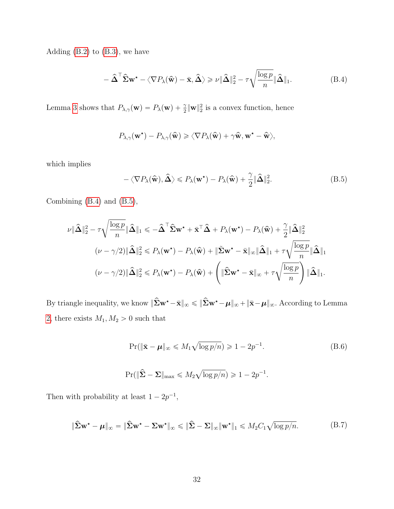Adding  $(B.2)$  to  $(B.3)$ , we have

<span id="page-31-0"></span>
$$
-\hat{\Delta}^{\top} \hat{\Sigma} \mathbf{w}^{\star} - \langle \nabla P_{\lambda}(\hat{\mathbf{w}}) - \bar{\mathbf{x}}, \hat{\Delta} \rangle \ge \nu \|\hat{\Delta}\|_{2}^{2} - \tau \sqrt{\frac{\log p}{n}} \|\hat{\Delta}\|_{1}.
$$
 (B.4)

Lemma [3](#page-30-2) shows that  $P_{\lambda,\gamma}(\mathbf{w}) = P_{\lambda}(\mathbf{w}) + \frac{\gamma}{2} \|\mathbf{w}\|_2^2$  is a convex function, hence

$$
P_{\lambda,\gamma}(\mathbf{w}^{\star}) - P_{\lambda,\gamma}(\widehat{\mathbf{w}}) \geqslant \langle \nabla P_{\lambda}(\widehat{\mathbf{w}}) + \gamma \widehat{\mathbf{w}}, \mathbf{w}^{\star} - \widehat{\mathbf{w}} \rangle,
$$

which implies

<span id="page-31-1"></span>
$$
-\langle \nabla P_{\lambda}(\widehat{\mathbf{w}}), \widehat{\Delta} \rangle \leq P_{\lambda}(\mathbf{w}^{\star}) - P_{\lambda}(\widehat{\mathbf{w}}) + \frac{\gamma}{2} \|\widehat{\Delta}\|_{2}^{2}.
$$
 (B.5)

Combining [\(B.4\)](#page-31-0) and [\(B.5\)](#page-31-1),

$$
\nu \|\hat{\Delta}\|_{2}^{2} - \tau \sqrt{\frac{\log p}{n}} \|\hat{\Delta}\|_{1} \leqslant -\hat{\Delta}^{\top} \hat{\Sigma} \mathbf{w}^{\star} + \bar{\mathbf{x}}^{\top} \hat{\Delta} + P_{\lambda}(\mathbf{w}^{\star}) - P_{\lambda}(\hat{\mathbf{w}}) + \frac{\gamma}{2} \|\hat{\Delta}\|_{2}^{2}
$$
\n
$$
(\nu - \gamma/2) \|\hat{\Delta}\|_{2}^{2} \leqslant P_{\lambda}(\mathbf{w}^{\star}) - P_{\lambda}(\hat{\mathbf{w}}) + \|\tilde{\Sigma} \mathbf{w}^{\star} - \bar{\mathbf{x}}\|_{\infty} \|\hat{\Delta}\|_{1} + \tau \sqrt{\frac{\log p}{n}} \|\hat{\Delta}\|_{1}
$$
\n
$$
(\nu - \gamma/2) \|\hat{\Delta}\|_{2}^{2} \leqslant P_{\lambda}(\mathbf{w}^{\star}) - P_{\lambda}(\hat{\mathbf{w}}) + \left( \|\hat{\Sigma} \mathbf{w}^{\star} - \bar{\mathbf{x}}\|_{\infty} + \tau \sqrt{\frac{\log p}{n}} \right) \|\hat{\Delta}\|_{1}.
$$

By triangle inequality, we know  $\|\widehat{\boldsymbol{\Sigma}}\mathbf{w}^\star - \bar{\mathbf{x}}\|_\infty \leqslant \|\widehat{\boldsymbol{\Sigma}}\mathbf{w}^\star - \boldsymbol{\mu}\|_\infty + \|\bar{\mathbf{x}} - \boldsymbol{\mu}\|_\infty$ . According to Lemma [2,](#page-29-0) there exists  $M_1, M_2 > 0$  such that

<span id="page-31-2"></span>
$$
\Pr(\|\bar{\mathbf{x}} - \boldsymbol{\mu}\|_{\infty} \le M_1 \sqrt{\log p/n}) \ge 1 - 2p^{-1}.
$$
 (B.6)

$$
\Pr(\|\widehat{\mathbf{\Sigma}} - \mathbf{\Sigma}\|_{\max} \leq M_2 \sqrt{\log p/n}) \geq 1 - 2p^{-1}.
$$

Then with probability at least  $1 - 2p^{-1}$ ,

<span id="page-31-3"></span>
$$
\|\widehat{\boldsymbol{\Sigma}}\mathbf{w}^{\star} - \boldsymbol{\mu}\|_{\infty} = \|\widehat{\boldsymbol{\Sigma}}\mathbf{w}^{\star} - \boldsymbol{\Sigma}\mathbf{w}^{\star}\|_{\infty} \le \|\widehat{\boldsymbol{\Sigma}} - \boldsymbol{\Sigma}\|_{\infty}\|\mathbf{w}^{\star}\|_{1} \le M_{2}C_{1}\sqrt{\log p/n}.
$$
 (B.7)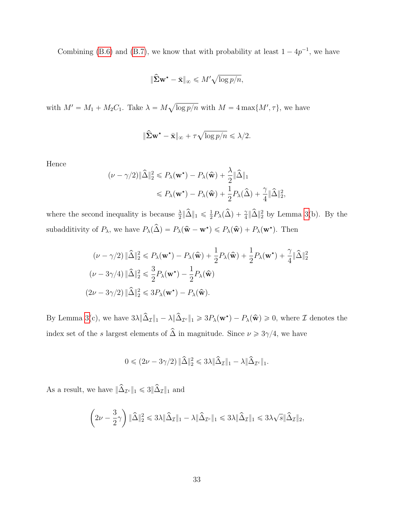Combining [\(B.6\)](#page-31-2) and [\(B.7\)](#page-31-3), we know that with probability at least  $1 - 4p^{-1}$ , we have

$$
\|\widehat{\mathbf{\Sigma}}\mathbf{w}^{\star} - \bar{\mathbf{x}}\|_{\infty} \leqslant M' \sqrt{\log p/n},
$$

with  $M' = M_1 + M_2C_1$ . Take  $\lambda = M$  $\log p/n$  with  $M = 4 \max\{M', \tau\}$ , we have

$$
\|\hat{\boldsymbol{\Sigma}} \mathbf{w}^\star - \bar{\mathbf{x}}\|_\infty + \tau \sqrt{\log p / n} \leqslant \lambda / 2.
$$

Hence

$$
(\nu - \gamma/2) \|\hat{\Delta}\|_2^2 \le P_\lambda(\mathbf{w}^\star) - P_\lambda(\hat{\mathbf{w}}) + \frac{\lambda}{2} \|\hat{\Delta}\|_1
$$
  

$$
\le P_\lambda(\mathbf{w}^\star) - P_\lambda(\hat{\mathbf{w}}) + \frac{1}{2} P_\lambda(\hat{\Delta}) + \frac{\gamma}{4} \|\hat{\Delta}\|_2^2,
$$

where the second inequality is because  $\frac{\lambda}{2} \|\hat{\Delta}\|_1 \leq \frac{1}{2}$  $\frac{1}{2}P_{\lambda}(\widehat{\Delta}) + \frac{\gamma}{4} \|\widehat{\Delta}\|_{2}^{2}$  by Lemma [3\(](#page-30-2)b). By the subadditivity of  $P_{\lambda}$ , we have  $P_{\lambda}(\hat{\Delta}) = P_{\lambda}(\hat{\mathbf{w}} - \mathbf{w}^*) \leq P_{\lambda}(\hat{\mathbf{w}}) + P_{\lambda}(\mathbf{w}^*)$ . Then

$$
(\nu - \gamma/2) \|\widehat{\Delta}\|_2^2 \le P_{\lambda}(\mathbf{w}^*) - P_{\lambda}(\widehat{\mathbf{w}}) + \frac{1}{2}P_{\lambda}(\widehat{\mathbf{w}}) + \frac{1}{2}P_{\lambda}(\mathbf{w}^*) + \frac{\gamma}{4}\|\widehat{\Delta}\|_2^2
$$
  

$$
(\nu - 3\gamma/4) \|\widehat{\Delta}\|_2^2 \le \frac{3}{2}P_{\lambda}(\mathbf{w}^*) - \frac{1}{2}P_{\lambda}(\widehat{\mathbf{w}})
$$
  

$$
(2\nu - 3\gamma/2) \|\widehat{\Delta}\|_2^2 \le 3P_{\lambda}(\mathbf{w}^*) - P_{\lambda}(\widehat{\mathbf{w}}).
$$

By Lemma [3\(](#page-30-2)c), we have  $3\lambda \|\hat{\Delta}_{\mathcal{I}}\|_1 - \lambda \|\hat{\Delta}_{\mathcal{I}^c}\|_1 \geq 3P_{\lambda}(\mathbf{w}^{\star}) - P_{\lambda}(\hat{\mathbf{w}}) \geq 0$ , where  $\mathcal{I}$  denotes the index set of the  $s$  largest elements of  $\hat{\Delta}$  in magnitude. Since  $\nu \geqslant 3\gamma/4,$  we have

$$
0\leqslant (2\nu-3\gamma/2)\,\|\widehat{\Delta}\|_2^2\leqslant 3\lambda\|\widehat{\Delta}_{\mathcal{I}}\|_1-\lambda\|\widehat{\Delta}_{\mathcal{I}^c}\|_1.
$$

As a result, we have  $\|\widehat{\Delta}_{\mathcal{I}^c}\|_1\leqslant 3\|\widehat{\Delta}_{\mathcal{I}}\|_1$  and

$$
\left(2\nu-\frac{3}{2}\gamma\right)\|\widehat{\Delta}\|_2^2\leqslant 3\lambda\|\widehat{\Delta}_{\mathcal{I}}\|_1-\lambda\|\widehat{\Delta}_{\mathcal{I}^c}\|_1\leqslant 3\lambda\|\widehat{\Delta}_{\mathcal{I}}\|_1\leqslant 3\lambda\sqrt{s}\|\widehat{\Delta}_{\mathcal{I}}\|_2,
$$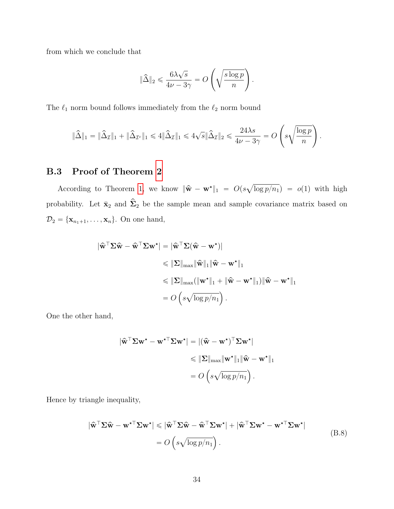from which we conclude that

$$
\|\widehat{\Delta}\|_2 \leq \frac{6\lambda\sqrt{s}}{4\nu - 3\gamma} = O\left(\sqrt{\frac{s\log p}{n}}\right).
$$

The  $\ell_1$  norm bound follows immediately from the  $\ell_2$  norm bound

$$
\|\widehat{\Delta}\|_1 = \|\widehat{\Delta}_{\mathcal{I}}\|_1 + \|\widehat{\Delta}_{\mathcal{I}^c}\|_1 \leq 4\|\widehat{\Delta}_{\mathcal{I}}\|_1 \leq 4\sqrt{s}\|\widehat{\Delta}_{\mathcal{I}}\|_2 \leq \frac{24\lambda s}{4\nu - 3\gamma} = O\left(s\sqrt{\frac{\log p}{n}}\right).
$$

˜

¸

## B.3 Proof of Theorem [2](#page-9-1)

According to Theorem [1,](#page-7-0) we know  $\|\hat{\mathbf{w}} - \mathbf{w}^{\star}\|_1 = O(s)$  $\log p/n_1$  =  $o(1)$  with high probability. Let  $\bar{\mathbf{x}}_2$  and  $\hat{\Sigma}_2$  be the sample mean and sample covariance matrix based on  $\mathcal{D}_2 = {\mathbf{x}_{n_1+1}, \ldots, \mathbf{x}_n}$ . On one hand,

$$
\begin{aligned}\n|\hat{\mathbf{w}}^{\top} \Sigma \hat{\mathbf{w}} - \hat{\mathbf{w}}^{\top} \Sigma \mathbf{w}^{\star}| &= |\hat{\mathbf{w}}^{\top} \Sigma (\hat{\mathbf{w}} - \mathbf{w}^{\star})| \\
&\leq \|\Sigma\|_{\max} \|\hat{\mathbf{w}}\|_1 \|\hat{\mathbf{w}} - \mathbf{w}^{\star}\|_1 \\
&\leq \|\Sigma\|_{\max} (\|\mathbf{w}^{\star}\|_1 + \|\hat{\mathbf{w}} - \mathbf{w}^{\star}\|_1) \|\hat{\mathbf{w}} - \mathbf{w}^{\star}\|_1 \\
&= O\left(s \sqrt{\log p/n_1}\right).\n\end{aligned}
$$

One the other hand,

$$
\begin{aligned} |\hat{\mathbf{w}}^{\top} \Sigma \mathbf{w}^{\star} - \mathbf{w}^{\star \top} \Sigma \mathbf{w}^{\star}| &= |(\hat{\mathbf{w}} - \mathbf{w}^{\star})^{\top} \Sigma \mathbf{w}^{\star}| \\ &\leqslant \|\Sigma\|_{\max} \|\mathbf{w}^{\star}\|_1 \|\hat{\mathbf{w}} - \mathbf{w}^{\star}\|_1 \\ &= O\left(s \sqrt{\log p / n_1}\right). \end{aligned}
$$

Hence by triangle inequality,

$$
|\hat{\mathbf{w}}^{\top} \Sigma \hat{\mathbf{w}} - \mathbf{w}^{\star \top} \Sigma \mathbf{w}^{\star}| \leq |\hat{\mathbf{w}}^{\top} \Sigma \hat{\mathbf{w}} - \hat{\mathbf{w}}^{\top} \Sigma \mathbf{w}^{\star}| + |\hat{\mathbf{w}}^{\top} \Sigma \mathbf{w}^{\star} - \mathbf{w}^{\star \top} \Sigma \mathbf{w}^{\star}|
$$
  
=  $O\left(s\sqrt{\log p/n_1}\right)$ . (B.8)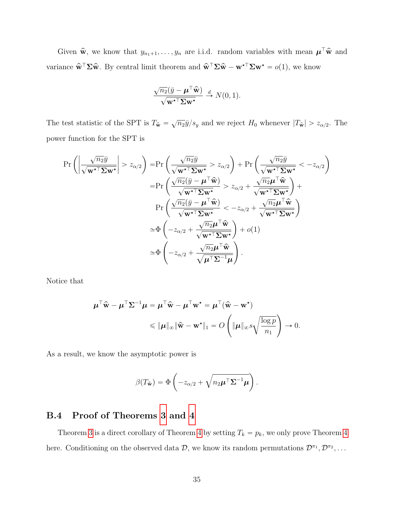Given  $\hat{\mathbf{w}}$ , we know that  $y_{n_1+1}, \ldots, y_n$  are i.i.d. random variables with mean  $\boldsymbol{\mu}^\top \hat{\mathbf{w}}$  and variance  $\hat{\mathbf{w}}^{\top} \Sigma \hat{\mathbf{w}}$ . By central limit theorem and  $\hat{\mathbf{w}}^{\top} \Sigma \hat{\mathbf{w}} - \mathbf{w}^{*T} \Sigma \mathbf{w}^{*} = o(1)$ , we know

$$
\frac{\sqrt{n_2}(\bar{y} - \boldsymbol{\mu}^\top \widehat{\mathbf{w}})}{\sqrt{\mathbf{w}^{\star \top} \boldsymbol{\Sigma} \mathbf{w}^{\star}}} \stackrel{d}{\to} N(0, 1).
$$

The test statistic of the SPT is  $T_{\hat{\mathbf{w}}} = \sqrt{n_2} \bar{y}/s_y$  and we reject  $H_0$  whenever  $|T_{\hat{\mathbf{w}}}| > z_{\alpha/2}$ . The power function for the SPT is

$$
\Pr\left(\left|\frac{\sqrt{n_2}\bar{y}}{\sqrt{\mathbf{w}^{\star}\mathsf{^{T}}\mathbf{\Sigma}\mathbf{w}^{\star}}}\right| > z_{\alpha/2}\right) = \Pr\left(\frac{\sqrt{n_2}\bar{y}}{\sqrt{\mathbf{w}^{\star}\mathsf{^{T}}\mathbf{\Sigma}\mathbf{w}^{\star}}}, z_{\alpha/2}\right) + \Pr\left(\frac{\sqrt{n_2}\bar{y}}{\sqrt{\mathbf{w}^{\star}\mathsf{^{T}}\mathbf{\Sigma}\mathbf{w}^{\star}}}, -z_{\alpha/2}\right) \\
= \Pr\left(\frac{\sqrt{n_2}(\bar{y} - \boldsymbol{\mu}^{\top}\hat{\mathbf{w}})}{\sqrt{\mathbf{w}^{\star}\mathsf{^{T}}\mathbf{\Sigma}\mathbf{w}^{\star}}}, z_{\alpha/2} + \frac{\sqrt{n_2}\boldsymbol{\mu}^{\top}\hat{\mathbf{w}}}{\sqrt{\mathbf{w}^{\star}\mathsf{^{T}}\mathbf{\Sigma}\mathbf{w}^{\star}}}\right) + \Pr\left(\frac{\sqrt{n_2}(\bar{y} - \boldsymbol{\mu}^{\top}\hat{\mathbf{w}})}{\sqrt{\mathbf{w}^{\star}\mathsf{^{T}}\mathbf{\Sigma}\mathbf{w}^{\star}}}, -z_{\alpha/2} + \frac{\sqrt{n_2}\boldsymbol{\mu}^{\top}\hat{\mathbf{w}}}{\sqrt{\mathbf{w}^{\star}\mathsf{^{T}}\mathbf{\Sigma}\mathbf{w}^{\star}}}\right) \\
\approx \Phi\left(-z_{\alpha/2} + \frac{\sqrt{n_2}\boldsymbol{\mu}^{\top}\hat{\mathbf{w}}}{\sqrt{\mathbf{w}^{\star}\mathsf{^{T}}\mathbf{\Sigma}\mathbf{w}^{\star}}}\right) + o(1) \\
\approx \Phi\left(-z_{\alpha/2} + \frac{\sqrt{n_2}\boldsymbol{\mu}^{\top}\hat{\mathbf{w}}}{\sqrt{\boldsymbol{\mu}^{\top}\mathbf{\Sigma}^{-1}\boldsymbol{\mu}}}\right).
$$

Notice that

$$
\mu^{\top} \hat{\mathbf{w}} - \mu^{\top} \Sigma^{-1} \mu = \mu^{\top} \hat{\mathbf{w}} - \mu^{\top} \mathbf{w}^{\star} = \mu^{\top} (\hat{\mathbf{w}} - \mathbf{w}^{\star})
$$

$$
\leqslant \|\mu\|_{\infty} \|\hat{\mathbf{w}} - \mathbf{w}^{\star}\|_{1} = O\left(\|\mu\|_{\infty} s \sqrt{\frac{\log p}{n_{1}}}\right) \to 0.
$$

As a result, we know the asymptotic power is

$$
\beta(T_{\hat{\mathbf{w}}}) = \Phi\left(-z_{\alpha/2} + \sqrt{n_2 \boldsymbol{\mu}^{\top} \boldsymbol{\Sigma}^{-1} \boldsymbol{\mu}}\right).
$$

## B.4 Proof of Theorems [3](#page-10-1) and [4](#page-11-1)

Theorem [3](#page-10-1) is a direct corollary of Theorem [4](#page-11-1) by setting  $T_k = p_k$ , we only prove Theorem 4 here. Conditioning on the observed data  $\mathcal{D}$ , we know its random permutations  $\mathcal{D}^{\pi_1}, \mathcal{D}^{\pi_2}, \ldots$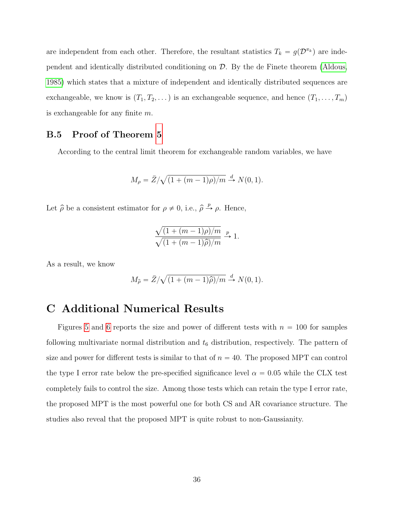are independent from each other. Therefore, the resultant statistics  $T_k = g(\mathcal{D}^{\pi_k})$  are independent and identically distributed conditioning on D. By the de Finete theorem [\(Aldous,](#page-22-2) [1985\)](#page-22-2) which states that a mixture of independent and identically distributed sequences are exchangeable, we know is  $(T_1, T_2, \ldots)$  is an exchangeable sequence, and hence  $(T_1, \ldots, T_m)$ is exchangeable for any finite  $m$ .

### B.5 Proof of Theorem [5](#page-13-2)

According to the central limit theorem for exchangeable random variables, we have

$$
M_{\rho} = \bar{Z}/\sqrt{(1 + (m-1)\rho)/m} \stackrel{d}{\to} N(0, 1).
$$

Let  $\hat{\rho}$  be a consistent estimator for  $\rho \neq 0$ , i.e.,  $\hat{\rho} \stackrel{p}{\rightarrow} \rho$ . Hence,

$$
\frac{\sqrt{(1+(m-1)\rho)/m}}{\sqrt{(1+(m-1)\widehat{\rho})/m}} \xrightarrow{p} 1.
$$

As a result, we know

$$
M_{\hat{\rho}} = \bar{Z}/\sqrt{(1 + (m-1)\hat{\rho})/m} \stackrel{d}{\rightarrow} N(0, 1).
$$

## <span id="page-35-0"></span>C Additional Numerical Results

Figures [5](#page-36-0) and [6](#page-37-0) reports the size and power of different tests with  $n = 100$  for samples following multivariate normal distribution and  $t<sub>6</sub>$  distribution, respectively. The pattern of size and power for different tests is similar to that of  $n = 40$ . The proposed MPT can control the type I error rate below the pre-specified significance level  $\alpha = 0.05$  while the CLX test completely fails to control the size. Among those tests which can retain the type I error rate, the proposed MPT is the most powerful one for both CS and AR covariance structure. The studies also reveal that the proposed MPT is quite robust to non-Gaussianity.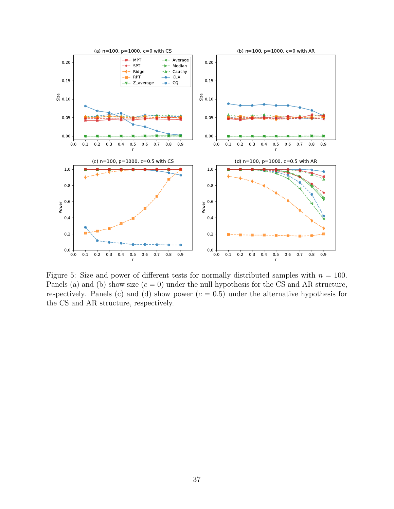<span id="page-36-0"></span>

Figure 5: Size and power of different tests for normally distributed samples with  $n = 100$ . Panels (a) and (b) show size  $(c = 0)$  under the null hypothesis for the CS and AR structure, respectively. Panels (c) and (d) show power  $(c = 0.5)$  under the alternative hypothesis for the CS and AR structure, respectively.